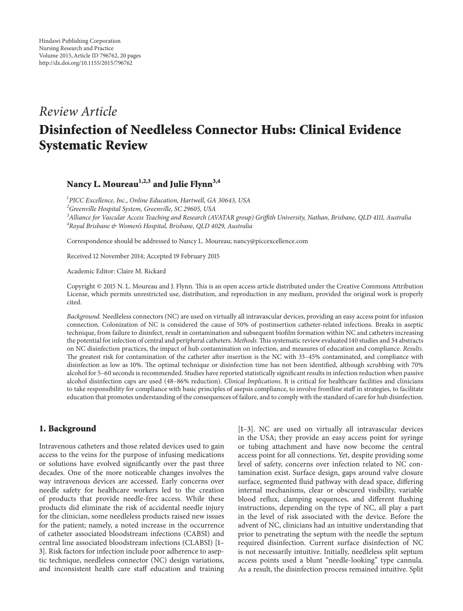# *Review Article* **Disinfection of Needleless Connector Hubs: Clinical Evidence Systematic Review**

Nancy L. Moureau<sup>1,2,3</sup> and Julie Flynn<sup>3,4</sup>

 *PICC Excellence, Inc., Online Education, Hartwell, GA 30643, USA Greenville Hospital System, Greenville, SC 29605, USA Alliance for Vascular Access Teaching and Research (AVATAR group) Griffith University, Nathan, Brisbane, QLD 4111, Australia Royal Brisbane & Women's Hospital, Brisbane, QLD 4029, Australia*

Correspondence should be addressed to Nancy L. Moureau; nancy@piccexcellence.com

Received 12 November 2014; Accepted 19 February 2015

Academic Editor: Claire M. Rickard

Copyright © 2015 N. L. Moureau and J. Flynn. This is an open access article distributed under the Creative Commons Attribution License, which permits unrestricted use, distribution, and reproduction in any medium, provided the original work is properly cited.

*Background*. Needleless connectors (NC) are used on virtually all intravascular devices, providing an easy access point for infusion connection. Colonization of NC is considered the cause of 50% of postinsertion catheter-related infections. Breaks in aseptic technique, from failure to disinfect, result in contamination and subsequent biofilm formation within NC and catheters increasing the potential for infection of central and peripheral catheters. *Methods*.This systematic review evaluated 140 studies and 34 abstracts on NC disinfection practices, the impact of hub contamination on infection, and measures of education and compliance. *Results*. The greatest risk for contamination of the catheter after insertion is the NC with 33–45% contaminated, and compliance with disinfection as low as 10%. The optimal technique or disinfection time has not been identified, although scrubbing with 70% alcohol for 5–60 seconds is recommended. Studies have reported statistically significant results in infection reduction when passive alcohol disinfection caps are used (48–86% reduction). *Clinical Implications*. It is critical for healthcare facilities and clinicians to take responsibility for compliance with basic principles of asepsis compliance, to involve frontline staff in strategies, to facilitate education that promotes understanding of the consequences of failure, and to comply with the standard of care for hub disinfection.

## **1. Background**

Intravenous catheters and those related devices used to gain access to the veins for the purpose of infusing medications or solutions have evolved significantly over the past three decades. One of the more noticeable changes involves the way intravenous devices are accessed. Early concerns over needle safety for healthcare workers led to the creation of products that provide needle-free access. While these products did eliminate the risk of accidental needle injury for the clinician, some needleless products raised new issues for the patient; namely, a noted increase in the occurrence of catheter associated bloodstream infections (CABSI) and central line associated bloodstream infections (CLABSI) [1– 3]. Risk factors for infection include poor adherence to aseptic technique, needleless connector (NC) design variations, and inconsistent health care staff education and training

[1–3]. NC are used on virtually all intravascular devices in the USA; they provide an easy access point for syringe or tubing attachment and have now become the central access point for all connections. Yet, despite providing some level of safety, concerns over infection related to NC contamination exist. Surface design, gaps around valve closure surface, segmented fluid pathway with dead space, differing internal mechanisms, clear or obscured visibility, variable blood reflux, clamping sequences, and different flushing instructions, depending on the type of NC, all play a part in the level of risk associated with the device. Before the advent of NC, clinicians had an intuitive understanding that prior to penetrating the septum with the needle the septum required disinfection. Current surface disinfection of NC is not necessarily intuitive. Initially, needleless split septum access points used a blunt "needle-looking" type cannula. As a result, the disinfection process remained intuitive. Split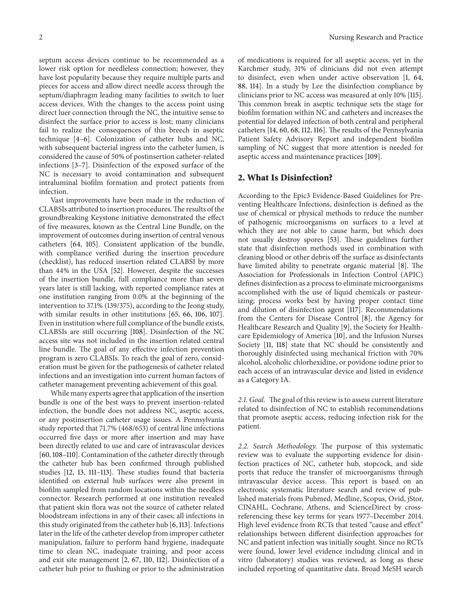septum access devices continue to be recommended as a lower risk option for needleless connection; however, they have lost popularity because they require multiple parts and pieces for access and allow direct needle access through the septum/diaphragm leading many facilities to switch to luer access devices. With the changes to the access point using direct luer connection through the NC, the intuitive sense to disinfect the surface prior to access is lost; many clinicians fail to realize the consequences of this breech in aseptic technique [4–6]. Colonization of catheter hubs and NC, with subsequent bacterial ingress into the catheter lumen, is considered the cause of 50% of postinsertion catheter-related infections [3–7]. Disinfection of the exposed surface of the NC is necessary to avoid contamination and subsequent intraluminal biofilm formation and protect patients from infection.

Vast improvements have been made in the reduction of CLABSIs attributed to insertion procedures.The results of the groundbreaking Keystone initiative demonstrated the effect of five measures, known as the Central Line Bundle, on the improvement of outcomes during insertion of central venous catheters [64, 105]. Consistent application of the bundle, with compliance verified during the insertion procedure (checklist), has reduced insertion related CLABSI by more than 44% in the USA [52]. However, despite the successes of the insertion bundle, full compliance more than seven years later is still lacking, with reported compliance rates at one institution ranging from 0.0% at the beginning of the intervention to 37.1% (139/375), according to the Jeong study, with similar results in other institutions [65, 66, 106, 107]. Even in institution where full compliance of the bundle exists, CLABSIs are still occurring [108]. Disinfection of the NC access site was not included in the insertion related central line bundle. The goal of any effective infection prevention program is zero CLABSIs. To reach the goal of zero, consideration must be given for the pathogenesis of catheter related infections and an investigation into current human factors of catheter management preventing achievement of this goal.

While many experts agree that application of the insertion bundle is one of the best ways to prevent insertion-related infection, the bundle does not address NC, aseptic access, or any postinsertion catheter usage issues. A Pennsylvania study reported that 71.7% (468/653) of central line infections occurred five days or more after insertion and may have been directly related to use and care of intravascular devices [60, 108–110]. Contamination of the catheter directly through the catheter hub has been confirmed through published studies [12, 13, 111–113]. These studies found that bacteria identified on external hub surfaces were also present in biofilm sampled from random locations within the needless connector. Research performed at one institution revealed that patient skin flora was not the source of catheter related bloodstream infections in any of their cases; all infections in this study originated from the catheter hub [6, 113]. Infections later in the life of the catheter develop from improper catheter manipulation, failure to perform hand hygiene, inadequate time to clean NC, inadequate training, and poor access and exit site management [2, 67, 110, 112]. Disinfection of a catheter hub prior to flushing or prior to the administration

of medications is required for all aseptic access, yet in the Karchmer study, 31% of clinicians did not even attempt to disinfect, even when under active observation [1, 64, 88, 114]. In a study by Lee the disinfection compliance by clinicians prior to NC access was measured at only 10% [115]. This common break in aseptic technique sets the stage for biofilm formation within NC and catheters and increases the potential for delayed infection of both central and peripheral catheters [14, 60, 68, 112, 116]. The results of the Pennsylvania Patient Safety Advisory Report and independent biofilm sampling of NC suggest that more attention is needed for aseptic access and maintenance practices [109].

### **2. What Is Disinfection?**

According to the Epic3 Evidence-Based Guidelines for Preventing Healthcare Infections, disinfection is defined as the use of chemical or physical methods to reduce the number of pathogenic microorganisms on surfaces to a level at which they are not able to cause harm, but which does not usually destroy spores [53]. These guidelines further state that disinfection methods used in combination with cleaning blood or other debris off the surface as disinfectants have limited ability to penetrate organic material [8]. The Association for Professionals in Infection Control (APIC) defines disinfection as a process to eliminate microorganisms accomplished with the use of liquid chemicals or pasteurizing; process works best by having proper contact time and dilution of disinfection agent [117]. Recommendations from the Centers for Disease Control [8], the Agency for Healthcare Research and Quality [9], the Society for Healthcare Epidemiology of America [10], and the Infusion Nurses Society [11, 118] state that NC should be consistently and thoroughly disinfected using mechanical friction with 70% alcohol, alcoholic chlorhexidine, or povidone iodine prior to each access of an intravascular device and listed in evidence as a Category 1A.

*2.1. Goal.* The goal of this review is to assess current literature related to disinfection of NC to establish recommendations that promote aseptic access, reducing infection risk for the patient.

*2.2. Search Methodology.* The purpose of this systematic review was to evaluate the supporting evidence for disinfection practices of NC, catheter hub, stopcock, and side ports that reduce the transfer of microorganisms through intravascular device access. This report is based on an electronic systematic literature search and review of published materials from Pubmed, Medline, Scopus, Ovid, jStor, CINAHL, Cochrane, Athens, and ScienceDirect by crossreferencing these key terms for years 1977–December 2014. High level evidence from RCTs that tested "cause and effect" relationships between different disinfection approaches for NC and patient infection was initially sought. Since no RCTs were found, lower level evidence including clinical and in vitro (laboratory) studies was reviewed, as long as these included reporting of quantitative data. Broad MeSH search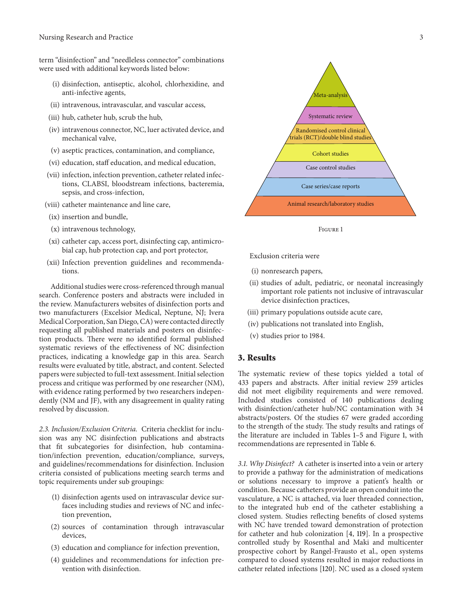term "disinfection" and "needleless connector" combinations were used with additional keywords listed below:

- (i) disinfection, antiseptic, alcohol, chlorhexidine, and anti-infective agents,
- (ii) intravenous, intravascular, and vascular access,
- (iii) hub, catheter hub, scrub the hub,
- (iv) intravenous connector, NC, luer activated device, and mechanical valve,
- (v) aseptic practices, contamination, and compliance,
- (vi) education, staff education, and medical education,
- (vii) infection, infection prevention, catheter related infections, CLABSI, bloodstream infections, bacteremia, sepsis, and cross-infection,
- (viii) catheter maintenance and line care,
- (ix) insertion and bundle,
- (x) intravenous technology,
- (xi) catheter cap, access port, disinfecting cap, antimicrobial cap, hub protection cap, and port protector,
- (xii) Infection prevention guidelines and recommendations.

Additional studies were cross-referenced through manual search. Conference posters and abstracts were included in the review. Manufacturers websites of disinfection ports and two manufacturers (Excelsior Medical, Neptune, NJ; Ivera Medical Corporation, San Diego, CA) were contacted directly requesting all published materials and posters on disinfection products. There were no identified formal published systematic reviews of the effectiveness of NC disinfection practices, indicating a knowledge gap in this area. Search results were evaluated by title, abstract, and content. Selected papers were subjected to full-text assessment. Initial selection process and critique was performed by one researcher (NM), with evidence rating performed by two researchers independently (NM and JF), with any disagreement in quality rating resolved by discussion.

*2.3. Inclusion/Exclusion Criteria.* Criteria checklist for inclusion was any NC disinfection publications and abstracts that fit subcategories for disinfection, hub contamination/infection prevention, education/compliance, surveys, and guidelines/recommendations for disinfection. Inclusion criteria consisted of publications meeting search terms and topic requirements under sub groupings:

- (1) disinfection agents used on intravascular device surfaces including studies and reviews of NC and infection prevention,
- (2) sources of contamination through intravascular devices,
- (3) education and compliance for infection prevention,
- (4) guidelines and recommendations for infection prevention with disinfection.





Exclusion criteria were

- (i) nonresearch papers,
- (ii) studies of adult, pediatric, or neonatal increasingly important role patients not inclusive of intravascular device disinfection practices,
- (iii) primary populations outside acute care,
- (iv) publications not translated into English,
- (v) studies prior to 1984.

#### **3. Results**

The systematic review of these topics yielded a total of 433 papers and abstracts. After initial review 259 articles did not meet eligibility requirements and were removed. Included studies consisted of 140 publications dealing with disinfection/catheter hub/NC contamination with 34 abstracts/posters. Of the studies 67 were graded according to the strength of the study. The study results and ratings of the literature are included in Tables 1–5 and Figure 1, with recommendations are represented in Table 6.

*3.1. Why Disinfect?* A catheter is inserted into a vein or artery to provide a pathway for the administration of medications or solutions necessary to improve a patient's health or condition. Because catheters provide an open conduit into the vasculature, a NC is attached, via luer threaded connection, to the integrated hub end of the catheter establishing a closed system. Studies reflecting benefits of closed systems with NC have trended toward demonstration of protection for catheter and hub colonization [4, 119]. In a prospective controlled study by Rosenthal and Maki and multicenter prospective cohort by Rangel-Frausto et al., open systems compared to closed systems resulted in major reductions in catheter related infections [120]. NC used as a closed system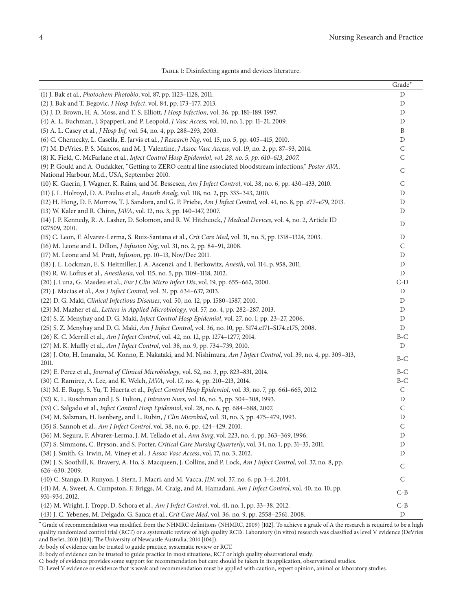|                                                                                                                                                                                                      | Grade*       |
|------------------------------------------------------------------------------------------------------------------------------------------------------------------------------------------------------|--------------|
| (1) J. Bak et al., Photochem Photobio, vol. 87, pp. 1123-1128, 2011.                                                                                                                                 | D            |
| (2) J. Bak and T. Begovic, J Hosp Infect, vol. 84, pp. 173-177, 2013.                                                                                                                                | $\mathbf D$  |
| (3) J. D. Brown, H. A. Moss, and T. S. Elliott, <i>J Hosp Infection</i> , vol. 36, pp. 181-189, 1997.                                                                                                | D            |
| (4) A. L. Buchman, J. Spapperi, and P. Leopold, J Vasc Access, vol. 10, no. 1, pp. 11-21, 2009.                                                                                                      | D            |
| (5) A. L. Casey et al., <i>J Hosp Inf</i> , vol. 54, no. 4, pp. 288-293, 2003.                                                                                                                       | B            |
| (6) C. Chernecky, L. Casella, E. Jarvis et al., <i>J Research Nsg</i> , vol. 15, no. 5, pp. 405-415, 2010.                                                                                           | $\mathbf D$  |
| (7) M. DeVries, P. S. Mancos, and M. J. Valentine, <i>J Assoc Vasc Access</i> , vol. 19, no. 2, pp. 87-93, 2014.                                                                                     | $\mathsf C$  |
| (8) K. Field, C. McFarlane et al., Infect Control Hosp Epidemiol, vol. 28, no. 5, pp. 610-613, 2007.                                                                                                 | $\mathsf{C}$ |
| (9) P. Gould and A. Oudakker, "Getting to ZERO central line associated bloodstream infections," Poster AVA,<br>National Harbour, M.d., USA, September 2010.                                          | C            |
| (10) K. Guerin, J. Wagner, K. Rains, and M. Bessesen, Am J Infect Control, vol. 38, no. 6, pp. 430-433, 2010.                                                                                        | C            |
| (11) J. L. Holroyd, D. A. Paulus et al., Anesth Analg, vol. 118, no. 2, pp. 333-343, 2010.                                                                                                           | D            |
| (12) H. Hong, D. F. Morrow, T. J. Sandora, and G. P. Priebe, Am J Infect Control, vol. 41, no. 8, pp. e77-e79, 2013.                                                                                 | D            |
| (13) W. Kaler and R. Chinn, JAVA, vol. 12, no. 3, pp. 140-147, 2007.                                                                                                                                 | D            |
| (14) J. P. Kennedy, R. A. Lasher, D. Solomon, and R. W. Hitchcock, J Medical Devices, vol. 4, no. 2, Article ID                                                                                      | D            |
| 027509, 2010.                                                                                                                                                                                        |              |
| (15) C. Leon, F. Alvarez-Lerma, S. Ruiz-Santana et al., Crit Care Med, vol. 31, no. 5, pp. 1318-1324, 2003.<br>(16) M. Leone and L. Dillon, <i>J Infusion Nsg</i> , vol. 31, no. 2, pp. 84-91, 2008. | D<br>C       |
| (17) M. Leone and M. Pratt, Infusion, pp. 10-13, Nov/Dec 2011.                                                                                                                                       | D            |
| (18) J. L. Lockman, E. S. Heitmiller, J. A. Ascenzi, and I. Berkowitz, Anesth, vol. 114, p. 958, 2011.                                                                                               | D            |
| (19) R. W. Loftus et al., Anesthesia, vol. 115, no. 5, pp. 1109-1118, 2012.                                                                                                                          | D            |
| (20) J. Luna, G. Masdeu et al., Eur J Clin Micro Infect Dis, vol. 19, pp. 655-662, 2000.                                                                                                             | $C-D$        |
| (21) J. Macias et al., Am J Infect Control, vol. 31, pp. 634-637, 2013.                                                                                                                              | D            |
| (22) D. G. Maki, Clinical Infectious Diseases, vol. 50, no. 12, pp. 1580-1587, 2010.                                                                                                                 | D            |
| (23) M. Mazher et al., Letters in Applied Microbiology, vol. 57, no. 4, pp. 282-287, 2013.                                                                                                           | D            |
| (24) S. Z. Menyhay and D. G. Maki, Infect Control Hosp Epidemiol, vol. 27, no. 1, pp. 23-27, 2006.                                                                                                   | D            |
| (25) S. Z. Menyhay and D. G. Maki, Am J Infect Control, vol. 36, no. 10, pp. S174.e171-S174.e175, 2008.                                                                                              | D            |
| (26) K. C. Merrill et al., Am J Infect Control, vol. 42, no. 12, pp. 1274-1277, 2014.                                                                                                                | $B-C$        |
| (27) M. K. Muffly et al., Am J Infect Control, vol. 38, no. 9, pp. 734-739, 2010.                                                                                                                    | D            |
| (28) J. Oto, H. Imanaka, M. Konno, E. Nakataki, and M. Nishimura, Am J Infect Control, vol. 39, no. 4, pp. 309-313,                                                                                  |              |
| 2011.                                                                                                                                                                                                | $B-C$        |
| (29) E. Perez et al., Journal of Clinical Microbiology, vol. 52, no. 3, pp. 823-831, 2014.                                                                                                           | $B-C$        |
| (30) C. Ramirez, A. Lee, and K. Welch, JAVA, vol. 17, no. 4, pp. 210-213, 2014.                                                                                                                      | $B-C$        |
| (31) M. E. Rupp, S. Yu, T. Huerta et al., Infect Control Hosp Epidemiol, vol. 33, no. 7, pp. 661-665, 2012.                                                                                          | C            |
| (32) K. L. Ruschman and J. S. Fulton, <i>J Intraven Nurs</i> , vol. 16, no. 5, pp. 304-308, 1993.                                                                                                    | D            |
| (33) C. Salgado et al., Infect Control Hosp Epidemiol, vol. 28, no. 6, pp. 684-688, 2007.                                                                                                            | $\mathsf C$  |
| (34) M. Salzman, H. Isenberg, and L. Rubin, J Clin Microbiol, vol. 31, no. 3, pp. 475-479, 1993.                                                                                                     | D            |
| (35) S. Sannoh et al., Am J Infect Control, vol. 38, no. 6, pp. 424-429, 2010.                                                                                                                       | $\mathsf{C}$ |
| (36) M. Segura, F. Alvarez-Lerma, J. M. Tellado et al., Ann Surg, vol. 223, no. 4, pp. 363-369, 1996.                                                                                                | D            |
| (37) S. Simmons, C. Bryson, and S. Porter, Critical Care Nursing Quarterly, vol. 34, no. 1, pp. 31-35, 2011.                                                                                         | D            |
| (38) J. Smith, G. Irwin, M. Viney et al., J Assoc Vasc Access, vol. 17, no. 3, 2012.                                                                                                                 | D            |
| (39) J. S. Soothill, K. Bravery, A. Ho, S. Macqueen, J. Collins, and P. Lock, Am J Infect Control, vol. 37, no. 8, pp.<br>626-630, 2009.                                                             | C            |
| (40) C. Stango, D. Runyon, J. Stern, I. Macri, and M. Vacca, <i>JIN</i> , vol. 37, no. 6, pp. 1-4, 2014.                                                                                             | $\mathsf{C}$ |
| (41) M. A. Sweet, A. Cumpston, F. Briggs, M. Craig, and M. Hamadani, Am J Infect Control, vol. 40, no. 10, pp.                                                                                       | $C-B$        |
| 931-934, 2012.<br>(42) M. Wright, J. Tropp, D. Schora et al., Am J Infect Control, vol. 41, no. 1, pp. 33-38, 2012.                                                                                  | $C-B$        |
| (43) J. C. Yebenes, M. Delgado, G. Sauca et al., Crit Care Med, vol. 36, no. 9, pp. 2558-2561, 2008.                                                                                                 | D            |

<sup>∗</sup>Grade of recommendation was modified from the NHMRC definitions (NHMRC, 2009) [102]. To achieve a grade of A the research is required to be a high quality randomized control trial (RCT) or a systematic review of high quality RCTs. Laboratory (in vitro) research was classified as level V evidence (DeVries and Berlet, 2010 [103]; The University of Newcastle Australia, 2014 [104]).

A: body of evidence can be trusted to guide practice, systematic review or RCT.

B: body of evidence can be trusted to guide practice in most situations, RCT or high quality observational study.

C: body of evidence provides some support for recommendation but care should be taken in its application, observational studies.

D: Level V evidence or evidence that is weak and recommendation must be applied with caution, expert opinion, animal or laboratory studies.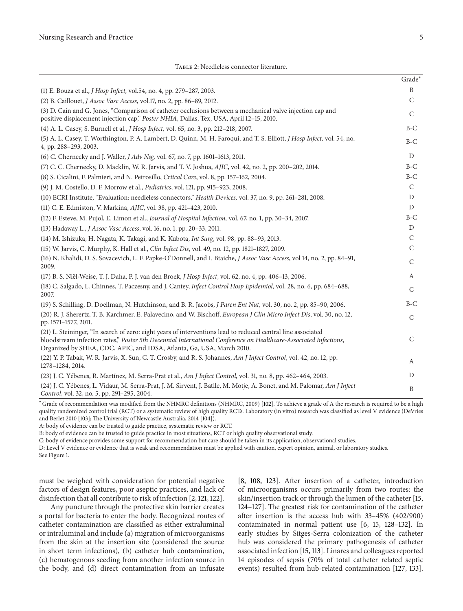#### Table 2: Needleless connector literature.

|                                                                                                                                                                                                                                                                                                           | Grade*        |
|-----------------------------------------------------------------------------------------------------------------------------------------------------------------------------------------------------------------------------------------------------------------------------------------------------------|---------------|
| (1) E. Bouza et al., <i>J Hosp Infect</i> , vol.54, no. 4, pp. 279-287, 2003.                                                                                                                                                                                                                             | B             |
| (2) B. Caillouet, J Assoc Vasc Access, vol.17, no. 2, pp. 86-89, 2012.                                                                                                                                                                                                                                    | $\mathsf{C}$  |
| (3) D. Cain and G. Jones, "Comparison of catheter occlusions between a mechanical valve injection cap and<br>positive displacement injection cap," Poster NHIA, Dallas, Tex, USA, April 12-15, 2010.                                                                                                      | $\mathsf{C}$  |
| (4) A. L. Casey, S. Burnell et al., <i>J Hosp Infect</i> , vol. 65, no. 3, pp. 212-218, 2007.                                                                                                                                                                                                             | $B-C$         |
| (5) A. L. Casey, T. Worthington, P. A. Lambert, D. Quinn, M. H. Faroqui, and T. S. Elliott, J Hosp Infect, vol. 54, no.<br>4, pp. 288-293, 2003.                                                                                                                                                          | $B-C$         |
| (6) C. Chernecky and J. Waller, J Adv Nsg, vol. 67, no. 7, pp. 1601-1613, 2011.                                                                                                                                                                                                                           | $\mathbf D$   |
| (7) C. C. Chernecky, D. Macklin, W. R. Jarvis, and T. V. Joshua, AJIC, vol. 42, no. 2, pp. 200-202, 2014.                                                                                                                                                                                                 | $B-C$         |
| (8) S. Cicalini, F. Palmieri, and N. Petrosillo, Critcal Care, vol. 8, pp. 157-162, 2004.                                                                                                                                                                                                                 | $B-C$         |
| (9) J. M. Costello, D. F. Morrow et al., Pediatrics, vol. 121, pp. 915-923, 2008.                                                                                                                                                                                                                         | $\mathsf{C}$  |
| (10) ECRI Institute, "Evaluation: needleless connectors," Health Devices, vol. 37, no. 9, pp. 261-281, 2008.                                                                                                                                                                                              | D             |
| (11) C. E. Edmiston, V. Markina, AJIC, vol. 38, pp. 421-423, 2010.                                                                                                                                                                                                                                        | D             |
| (12) F. Esteve, M. Pujol, E. Limon et al., Journal of Hospital Infection, vol. 67, no. 1, pp. 30-34, 2007.                                                                                                                                                                                                | $B-C$         |
| (13) Hadaway L., <i>J Assoc Vasc Access</i> , vol. 16, no. 1, pp. 20-33, 2011.                                                                                                                                                                                                                            | D             |
| (14) M. Ishizuka, H. Nagata, K. Takagi, and K. Kubota, Int Surg, vol. 98, pp. 88-93, 2013.                                                                                                                                                                                                                | C             |
| (15) W. Jarvis, C. Murphy, K. Hall et al., Clin Infect Dis, vol. 49, no. 12, pp. 1821-1827, 2009.                                                                                                                                                                                                         | $\mathsf{C}$  |
| (16) N. Khalidi, D. S. Sovacevich, L. F. Papke-O'Donnell, and I. Btaiche, J Assoc Vasc Access, vol 14, no. 2, pp. 84-91,<br>2009.                                                                                                                                                                         | $\mathcal{C}$ |
| (17) B. S. Niël-Weise, T. J. Daha, P. J. van den Broek, J Hosp Infect, vol. 62, no. 4, pp. 406-13, 2006.                                                                                                                                                                                                  | A             |
| (18) C. Salgado, L. Chinnes, T. Paczesny, and J. Cantey, Infect Control Hosp Epidemiol, vol. 28, no. 6, pp. 684-688,<br>2007.                                                                                                                                                                             | $\mathcal{C}$ |
| (19) S. Schilling, D. Doellman, N. Hutchinson, and B. R. Jacobs, J Paren Ent Nut, vol. 30, no. 2, pp. 85-90, 2006.                                                                                                                                                                                        | $B-C$         |
| (20) R. J. Sherertz, T. B. Karchmer, E. Palavecino, and W. Bischoff, European J Clin Micro Infect Dis, vol. 30, no. 12,<br>pp. 1571-1577, 2011.                                                                                                                                                           | $\mathsf{C}$  |
| (21) L. Steininger, "In search of zero: eight years of interventions lead to reduced central line associated<br>bloodstream infection rates," Poster 5th Decennial International Conference on Healthcare-Associated Infections,<br>Organized by SHEA, CDC, APIC, and IDSA, Atlanta, Ga, USA, March 2010. | $\mathsf{C}$  |
| (22) Y. P. Tabak, W. R. Jarvis, X. Sun, C. T. Crosby, and R. S. Johannes, Am J Infect Control, vol. 42, no. 12, pp.<br>1278-1284, 2014.                                                                                                                                                                   | A             |
| (23) J. C. Yébenes, R. Martínez, M. Serra-Prat et al., Am J Infect Control, vol. 31, no. 8, pp. 462-464, 2003.                                                                                                                                                                                            | D             |
| (24) J. C. Yébenes, L. Vidaur, M. Serra-Prat, J. M. Sirvent, J. Batlle, M. Motje, A. Bonet, and M. Palomar, Am J Infect<br>Control, vol. 32, no. 5, pp. 291-295, 2004.                                                                                                                                    | B             |

<sup>∗</sup>Grade of recommendation was modified from the NHMRC definitions (NHMRC, 2009) [102]. To achieve a grade of A the research is required to be a high quality randomized control trial (RCT) or a systematic review of high quality RCTs. Laboratory (in vitro) research was classified as level V evidence (DeVries and Berlet 2010 [103]; The University of Newcastle Australia, 2014 [104]).

A: body of evidence can be trusted to guide practice, systematic review or RCT.

B: body of evidence can be trusted to guide practice in most situations, RCT or high quality observational study.

C: body of evidence provides some support for recommendation but care should be taken in its application, observational studies.

D: Level V evidence or evidence that is weak and recommendation must be applied with caution, expert opinion, animal, or laboratory studies.

See Figure 1.

must be weighed with consideration for potential negative factors of design features, poor aseptic practices, and lack of disinfection that all contribute to risk of infection [2, 121, 122].

Any puncture through the protective skin barrier creates a portal for bacteria to enter the body. Recognized routes of catheter contamination are classified as either extraluminal or intraluminal and include (a) migration of microorganisms from the skin at the insertion site (considered the source in short term infections), (b) catheter hub contamination, (c) hematogenous seeding from another infection source in the body, and (d) direct contamination from an infusate [8, 108, 123]. After insertion of a catheter, introduction of microorganisms occurs primarily from two routes: the skin/insertion track or through the lumen of the catheter [15, 124–127]. The greatest risk for contamination of the catheter after insertion is the access hub with 33–45% (402/900) contaminated in normal patient use [6, 15, 128–132]. In early studies by Sitges-Serra colonization of the catheter hub was considered the primary pathogenesis of catheter associated infection [15, 113]. Linares and colleagues reported 14 episodes of sepsis (70% of total catheter related septic events) resulted from hub-related contamination [127, 133].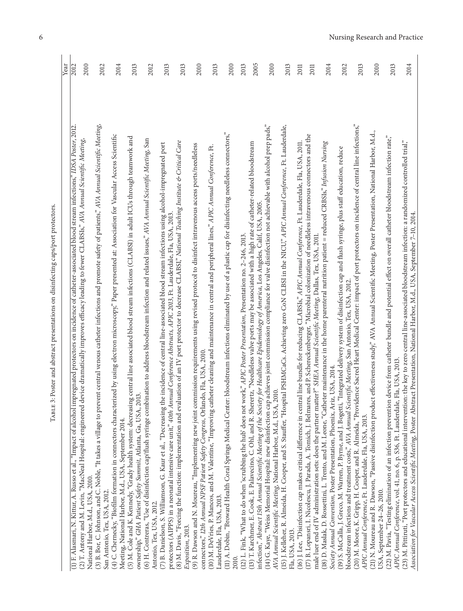| l<br>ׇ֚֘֡                                                                                                      |
|----------------------------------------------------------------------------------------------------------------|
| l                                                                                                              |
| こうき きょう<br>ł                                                                                                   |
| l                                                                                                              |
| l                                                                                                              |
| l                                                                                                              |
|                                                                                                                |
| ì                                                                                                              |
| l                                                                                                              |
| ۱                                                                                                              |
| l<br>$\ddot{\phantom{a}}$<br>֠                                                                                 |
| ֠<br>---------<br>ł                                                                                            |
|                                                                                                                |
| l<br>į                                                                                                         |
| ֖֖֖֖֖ׅ֖֧֪ׅ֖֧֚֚֚֚֚֚֚֚֚֚֚֚֚֚֚֚֚֚֚֚֚֚֚֚֚֚֚֚֬֝֝֝֬֝֝֓֝                                                              |
| l                                                                                                              |
|                                                                                                                |
| J<br>Í                                                                                                         |
| ֦֦֧֧֧֧֧֧ׅ֧֧֧֧֧֧֧֧֧֧֧֧֧֧ׅ֧֧֧֧֧֧֧֧֚֚֚֚֚֚֚֚֚֚֚֚֚֚֚֚֚֚֚֚֚֚֚֚֚֚֚֝֝֝֝֝֝֕֝֝֝֝֝֝֓֝֬֝֓֝֬֝֝֬֝֬֝֬֝֬֝֬֝֬֝֬֝֬֝֝֝֬֝֬֝֬֝֬֝֝֬֝ |
| <br> <br> <br> <br>֧֦֦֧֦֧֦֧֧֧֧֧֧֧֧֛֧֧֧֧֧֪֧֪ׅ֧֧֧֛֪֪֧֚֚֚֚֚֚֚֚֚֚֚֚֚֚֚֚֚֚֚֚֚֝֝֝֬֝֓֕֝֓֝֓֝֓֝֬֝֬֝֬֝֓֝֬֝֬֝֬֝֬֝֬֝֬      |
| Ī<br>֓֕֡                                                                                                       |

| Poster and abstract presentations on disinfecting caps/port protectors<br>Тавіе 3:                                                                                                                                                                                                                      | Year |
|---------------------------------------------------------------------------------------------------------------------------------------------------------------------------------------------------------------------------------------------------------------------------------------------------------|------|
| (1) F. Alasmari, N. Kittur, A. Russo et al., "Impact of alcohol impregnated protectors on incidence of catheter-associated blood stream infections," IDSA Poster, 2012.                                                                                                                                 | 2012 |
| (2) T. Antony and M. Levin, "MacNeal Hospital: engineered device dramatically improves efficacy leading to fewer CLABSIs," AVA Annual Scientific Meeting,                                                                                                                                               | 2010 |
| National Harbor, M.d., USA, 2010.                                                                                                                                                                                                                                                                       |      |
| (3) B. Bor, C. Johnson, and C. Noble, "It takes a village to prevent central venous catheter infections and promote safety of patients," AVA Annual Scientific Meeting,<br>San Antonio, Tex, USA, 2012.                                                                                                 | 2012 |
| (4) C. Chernecky, "Biofilm formation in connectors characterized by using electron microscopy," Paper presented at: Association for Vascular Access Scientific                                                                                                                                          |      |
| Meeting, National Harbor, M.d., USA, September 2014.                                                                                                                                                                                                                                                    | 2014 |
| (5) M. Cole and K. Kennedy, "Grady health system: decreasing central line associated blood stream infections (CLABSI) in adult ICUs through teamwork and                                                                                                                                                |      |
| <u>ന്</u><br>ownership," GHA Patient Safety Summit, Atlanta, Ga, USA, 201                                                                                                                                                                                                                               | 2013 |
| (6) H. Contreras, "Use of disinfection cap/flush syringe combination to address bloodstream infection and related issues," AVA Annual Scientific Meeting, San                                                                                                                                           | 2012 |
| (7) B. Danielson, S. Williamson, G. Kaur et al., "Decreasing the incidence of central line-associated blood stream infections using alcohol-impregnated port<br>Antonio, Tex, USA, 2012.                                                                                                                |      |
| protectors (AIPPS) in a neonatal intensive care unit," 40th Annual Conference Abstracts, APIC 2013, Ft. Lauderdale, Fla, USA, 2013.                                                                                                                                                                     | 2013 |
| (8) M. Davis, "Forcing the function: implementation and evaluation of an IV port protector to decrease CLABSI," National Teaching Institute & Critical Care                                                                                                                                             | 2013 |
| (9) R. Dawson and N. Moureau, "Implementing new joint commission requirements using revised protocol to disinfect intravenous access ports/needleless<br>Exposition, 2013.                                                                                                                              |      |
| connectors," 12th Annual NPSF Patient Safety Congress, Orlando, Fla, USA, 2010.                                                                                                                                                                                                                         | 2010 |
| (10) M. DeVries, P. Mancos, and M. Valentine, "Improving catheter cleaning and maintenance in central and peripheral lines," APIC Annual Conference, Ft.                                                                                                                                                | 2013 |
| Lauderdale, Fla, USA, 2013.                                                                                                                                                                                                                                                                             |      |
| (11) A. Dobin, "Broward Health Coral Springs Medical Center: bloodstream infections eliminated by use of a plastic cap for disinfecting needleless connectors,"<br>2010.                                                                                                                                | 2010 |
| (12) L. Fink, "What to do when 'scrubbing the hub' does not work," APIC Poster Presentation, Presentation no. 2-246, 2013.                                                                                                                                                                              | 2013 |
| (13) T. Karchmer, E. Cook, E. Palavecino, C. Ohl, and R. Sherertz, "Needleless valve ports may be associated with a high rate of catheter-related bloodstream                                                                                                                                           |      |
| infection," Abstract 15th Annual Scientific Meeting of the Society for Healthcare Epidemiology of America, Los Angeles, Calif, USA, 2005.                                                                                                                                                               | 2005 |
| (14) G. Kaye, "Weiss Memorial Hospital: new disinfection cap achieves joint commission compliance for valve disinfection not achievable with alcohol prep pads,"                                                                                                                                        | 2010 |
| AVA Annual Scientific Meeting, National Harbor, M.d., USA, 2010.                                                                                                                                                                                                                                        |      |
| (15) J. Kelleher, R. Almeida, H. Cooper, and S. Stauffer, "Hospital PSHMCaCs. Achieving zero CoN CLBSI in the NICU," APIC Annual Conference, Ft. Lauderdale,<br>Fla, USA, 2013.                                                                                                                         | 2013 |
| (16) J. Lee, "Disinfection cap makes critical difference in central line bundle for reducing CLABSIs," APIC Annual Conference, Pt. Lauderdale, Fla, USA, 2011                                                                                                                                           | 2011 |
| (17) B. Lopansri, I. Nicolescu, J. Parada, A. Tomich, J. Belmares, and P. Schereckenberger, "Microbial colonization of needleless intravenous connectors and the                                                                                                                                        | 2011 |
| male luer end of IV administration sets: does the partner matter?" SHEA Annual Scientific Meeting, Dallas, Tex, USA, 2011.                                                                                                                                                                              |      |
| (18) D. Maslak, D. Rossettini, L. Trento, and M. Leone, "Catheter maintenance in the home parenteral nutrition patient = reduced CRBSIs," Infusion Nursing<br>Society Annual Convention, Poster Presentation, Phoenix, Ariz, USA, 2014.                                                                 | 2014 |
| (19) S. McCalla, J. Greco, M. Warren, P. Byrne, and J. Bogetti, "Integrated delivery system of disinfection cap and flush syringe, plus staff education, reduce                                                                                                                                         |      |
| bloodstream infections and treatment costs," AVA Annual Scientific Meeting, San Antonio, Tex, USA, 2012.                                                                                                                                                                                                | 2012 |
| (20) M. Moore, K. Gripp, H. Cooper, and R. Almeida, "Providence Sacred Heart Medical Center: impact of port protectors on incidence of central line infections,"<br>APIC Annual Conference, Ft. Lauderdale, Fla, USA, 2013.                                                                             | 2013 |
| (21) N. Moureau and R. Dawson, "Passive disinfection product effectiveness study", AVA Annual Scientific Meeting, Poster Presentation, National Harbor, M.d.,                                                                                                                                           |      |
| USA, September 24-26, 2010.                                                                                                                                                                                                                                                                             | 2010 |
| (22) M. Pavia, "Testing elimination of an infection prevention device from catheter bundle and potential effect on overall catheter bloodstream infection rate,"                                                                                                                                        | 2013 |
| Fla, USA, 2013.<br>APIC Annual Conference, vol. 41, no. 6, p. S36, Ft. Lauderdale,                                                                                                                                                                                                                      |      |
| (23) M. Pittiruti, "Port protectors and educational intervention: the key to zero central line-associated bloodstream infection: a randomized controlled trial,"<br>Association for Vascular Access Scientific Meeting, Poster Abstract Presentation, National Harbor, M.d., USA, September 7-10, 2014. | 2014 |
|                                                                                                                                                                                                                                                                                                         |      |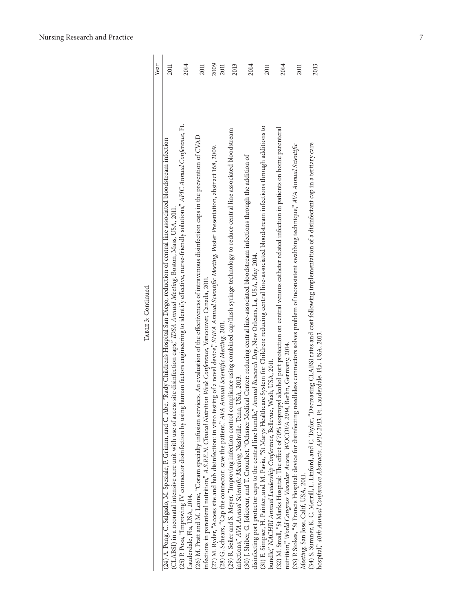| 2013        | (34) S. Sunner, K. C. Merrill, L. Linford, and C. Taylor, "Decreasing CLABSI rates and cost following implementation of a disinfectant cap in a tertiary care<br>hospital," 40th Annual Conference Abstracts, APIC 2013, Ft. Lauderdale, Fla, USA, 2013.                      |
|-------------|-------------------------------------------------------------------------------------------------------------------------------------------------------------------------------------------------------------------------------------------------------------------------------|
| <b>2011</b> | (33) P. Stokes, "St Francis Hospital: device for disinfecting needleless connectors solves problem of inconsistent swabbing technique," AVA Annual Scientific<br>Meeting, San Jose, Calif, USA, 2011.                                                                         |
| 2014        | (32) M. Small, "St Marks Hospital: The effect of 70% isopropyl alcohol port protection on central venous catheter related infection in patients on home parenteral<br>nutrition," World Congress Vascular Access, WOCOVA 2014, Berlin, Germany, 2014.                         |
| <b>2011</b> | (31) E. Simpser, H. Painter, and M. Pavia, "St Marys Healthcare System for Children: reducing central line-associated bloodstream infections through additions to<br>bundle," NACHRI Annual Leadership Conference, Bellevue, Wash, USA, 2011.                                 |
| 2014        | (30) J. Shiber, G. Jolicoeur, and T. Crouchet, "Ochsner Medical Center: reducing central line-associated bloodstream infections through the addition of<br>disinfecting port protector caps to the central line bundle," Annual Research Day, New Orleans, La, USA, May 2014. |
|             | infections," AVA Annual Scientific Meeting, Nashville, Tenn, USA, 2013.                                                                                                                                                                                                       |
| 2013        | (29) R. Seiler and S. Meyer, "Improving infection control compliance using combined cap/flush syringe technology to reduce central line associated bloodstream                                                                                                                |
| 2011        | (28) G. Schears, "Cap the connector: save the patient," AVA Annual Scientific Meeting, 2011.                                                                                                                                                                                  |
| 2009        | (27) M. Ryder, "Access site and hub disinfection: in vitro testing of a novel device," SHEA Annual Scientific Meeting, Poster Presentation, abstract 168, 2009.                                                                                                               |
| <b>2011</b> | (26) M. Pratt and M. Leone, "Coram specialty infusion services. An evaluation of the effectiveness of intravenous disinfection caps in the prevention of CVAD<br>infections in parenteral nutrition," A.S.P.E.N. Clinical Nutrition Week Conference, Vancouver, Canada, 2011. |
| 2014        | (25) P. Posa, "Improving IV connector disinfection by using human factors engineering to identify effective, nurse-friendly solutions," APIC Annual Conference, Ft.<br>Lauderdale, Fla, USA, 2014.                                                                            |
|             | (CLABSI) in a neonatal intensive care unit with use of access site disinfection caps," IDSA Annual Meeting, Boston, Mass, USA, 2011.                                                                                                                                          |
| 2011        | "Rady Children's Hospital San Diego, reduction of central line associated bloodstream infection<br>(24) A. Pong, C. Salgado, M. Speziale, P. Grimm, and C. Abe, '                                                                                                             |

TABLE 3: Continued.

TABLE 3: Continued.

Year

# Nursing Research and Practice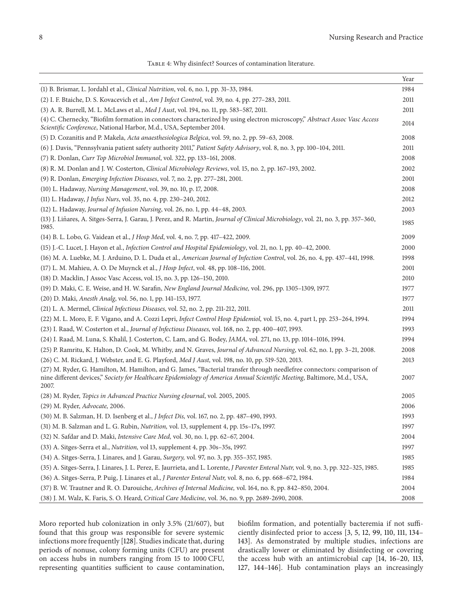|                                                                                                                                                                                                                                                              | Year |
|--------------------------------------------------------------------------------------------------------------------------------------------------------------------------------------------------------------------------------------------------------------|------|
| (1) B. Brismar, L. Jordahl et al., Clinical Nutrition, vol. 6, no. 1, pp. 31-33, 1984.                                                                                                                                                                       | 1984 |
| (2) I. F. Btaiche, D. S. Kovacevich et al., Am J Infect Control, vol. 39, no. 4, pp. 277-283, 2011.                                                                                                                                                          | 2011 |
| (3) A. R. Burrell, M. L. McLaws et al., Med J Aust, vol. 194, no. 11, pp. 583-587, 2011.                                                                                                                                                                     | 2011 |
| (4) C. Chernecky, "Biofilm formation in connectors characterized by using electron microscopy," Abstract Assoc Vasc Access<br>Scientific Conference, National Harbor, M.d., USA, September 2014.                                                             | 2014 |
| (5) D. Cozanitis and P. Makela, Acta anaesthesiologica Belgica, vol. 59, no. 2, pp. 59-63, 2008.                                                                                                                                                             | 2008 |
| (6) J. Davis, "Pennsylvania patient safety authority 2011," Patient Safety Advisory, vol. 8, no. 3, pp. 100-104, 2011.                                                                                                                                       | 2011 |
| (7) R. Donlan, Curr Top Microbiol Immunol, vol. 322, pp. 133-161, 2008.                                                                                                                                                                                      | 2008 |
| (8) R. M. Donlan and J. W. Costerton, Clinical Microbiology Reviews, vol. 15, no. 2, pp. 167-193, 2002.                                                                                                                                                      | 2002 |
| (9) R. Donlan, Emerging Infection Diseases, vol. 7, no. 2, pp. 277-281, 2001.                                                                                                                                                                                | 2001 |
| (10) L. Hadaway, Nursing Management, vol. 39, no. 10, p. 17, 2008.                                                                                                                                                                                           | 2008 |
| (11) L. Hadaway, J Infus Nurs, vol. 35, no. 4, pp. 230-240, 2012.                                                                                                                                                                                            | 2012 |
| (12) L. Hadaway, Journal of Infusion Nursing, vol. 26, no. 1, pp. 44-48, 2003.                                                                                                                                                                               | 2003 |
| (13) J. Liñares, A. Sitges-Serra, J. Garau, J. Perez, and R. Martin, Journal of Clinical Microbiology, vol. 21, no. 3, pp. 357-360,<br>1985.                                                                                                                 | 1985 |
| (14) B. L. Lobo, G. Vaidean et al., <i>J Hosp Med</i> , vol. 4, no. 7, pp. 417-422, 2009.                                                                                                                                                                    | 2009 |
| (15) J.-C. Lucet, J. Hayon et al., Infection Control and Hospital Epidemiology, vol. 21, no. 1, pp. 40-42, 2000.                                                                                                                                             | 2000 |
| (16) M. A. Luebke, M. J. Arduino, D. L. Duda et al., American Journal of Infection Control, vol. 26, no. 4, pp. 437-441, 1998.                                                                                                                               | 1998 |
| (17) L. M. Mahieu, A. O. De Muynck et al., <i>J Hosp Infect</i> , vol. 48, pp. 108-116, 2001.                                                                                                                                                                | 2001 |
| (18) D. Macklin, J Assoc Vasc Access, vol. 15, no. 3, pp. 126-150, 2010.                                                                                                                                                                                     | 2010 |
| (19) D. Maki, C. E. Weise, and H. W. Sarafin, New England Journal Medicine, vol. 296, pp. 1305-1309, 1977.                                                                                                                                                   | 1977 |
| (20) D. Maki, Anesth Analg, vol. 56, no. 1, pp. 141-153, 1977.                                                                                                                                                                                               | 1977 |
| (21) L. A. Mermel, Clinical Infectious Diseases, vol. 52, no. 2, pp. 211-212, 2011.                                                                                                                                                                          | 2011 |
| (22) M. L. Moro, E. F. Vigano, and A. Cozzi Lepri, Infect Control Hosp Epidemiol, vol. 15, no. 4, part 1, pp. 253-264, 1994.                                                                                                                                 | 1994 |
| (23) I. Raad, W. Costerton et al., Journal of Infectious Diseases, vol. 168, no. 2, pp. 400-407, 1993.                                                                                                                                                       | 1993 |
| (24) I. Raad, M. Luna, S. Khalil, J. Costerton, C. Lam, and G. Bodey, JAMA, vol. 271, no. 13, pp. 1014-1016, 1994.                                                                                                                                           | 1994 |
| (25) P. Ramritu, K. Halton, D. Cook, M. Whitby, and N. Graves, Journal of Advanced Nursing, vol. 62, no. 1, pp. 3-21, 2008.                                                                                                                                  | 2008 |
| (26) C. M. Rickard, J. Webster, and E. G. Playford, Med J Aust, vol. 198, no. 10, pp. 519-520, 2013.                                                                                                                                                         | 2013 |
| (27) M. Ryder, G. Hamilton, M. Hamilton, and G. James, "Bacterial transfer through needlefree connectors: comparison of<br>nine different devices," Society for Healthcare Epidemiology of America Annual Scientific Meeting, Baltimore, M.d., USA,<br>2007. | 2007 |
| (28) M. Ryder, Topics in Advanced Practice Nursing eJournal, vol. 2005, 2005.                                                                                                                                                                                | 2005 |
| (29) M. Ryder, Advocate, 2006.                                                                                                                                                                                                                               | 2006 |
| (30) M. B. Salzman, H. D. Isenberg et al., <i>J Infect Dis</i> , vol. 167, no. 2, pp. 487-490, 1993.                                                                                                                                                         | 1993 |
| (31) M. B. Salzman and L. G. Rubin, <i>Nutrition</i> , vol. 13, supplement 4, pp. 15s-17s, 1997.                                                                                                                                                             | 1997 |
| (32) N. Safdar and D. Maki, Intensive Care Med, vol. 30, no. 1, pp. 62-67, 2004.                                                                                                                                                                             | 2004 |
| (33) A. Sitges-Serra et al., Nutrition, vol 13, supplement 4, pp. 30s-35s, 1997.                                                                                                                                                                             | 1997 |
| (34) A. Sitges-Serra, J. Linares, and J. Garau, Surgery, vol. 97, no. 3, pp. 355-357, 1985.                                                                                                                                                                  | 1985 |
| (35) A. Sitges-Serra, J. Linares, J. L. Perez, E. Jaurrieta, and L. Lorente, J Parenter Enteral Nutr, vol. 9, no. 3, pp. 322-325, 1985.                                                                                                                      | 1985 |
| (36) A. Sitges-Serra, P. Puig, J. Linares et al., <i>J Parenter Enteral Nutr</i> , vol. 8, no. 6, pp. 668-672, 1984.                                                                                                                                         | 1984 |
| (37) B. W. Trautner and R. O. Darouiche, Archives of Internal Medicine, vol. 164, no. 8, pp. 842-850, 2004.                                                                                                                                                  | 2004 |
| (38) J. M. Walz, K. Faris, S. O. Heard, Critical Care Medicine, vol. 36, no. 9, pp. 2689-2690, 2008.                                                                                                                                                         | 2008 |

Moro reported hub colonization in only 3.5% (21/607), but found that this group was responsible for severe systemic infections more frequently [128]. Studies indicate that, during periods of nonuse, colony forming units (CFU) are present on access hubs in numbers ranging from 15 to 1000 CFU, representing quantities sufficient to cause contamination,

biofilm formation, and potentially bacteremia if not sufficiently disinfected prior to access [3, 5, 12, 99, 110, 111, 134– 143]. As demonstrated by multiple studies, infections are drastically lower or eliminated by disinfecting or covering the access hub with an antimicrobial cap [14, 16–20, 113, 127, 144–146]. Hub contamination plays an increasingly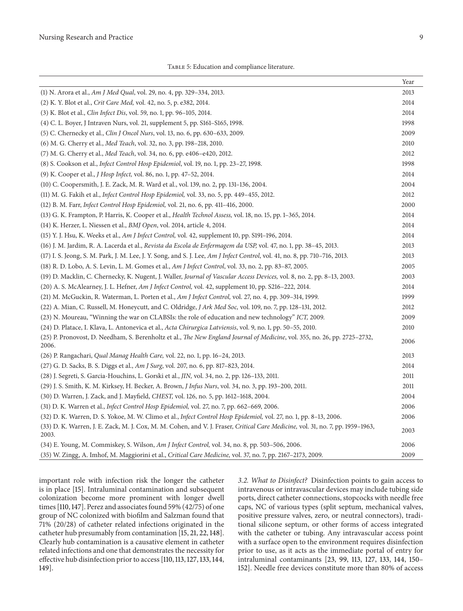|                                                                                                                                          | Year |
|------------------------------------------------------------------------------------------------------------------------------------------|------|
| (1) N. Arora et al., Am J Med Qual, vol. 29, no. 4, pp. 329-334, 2013.                                                                   | 2013 |
| (2) K. Y. Blot et al., Crit Care Med, vol. 42, no. 5, p. e382, 2014.                                                                     | 2014 |
| (3) K. Blot et al., <i>Clin Infect Dis</i> , vol. 59, no. 1, pp. 96-105, 2014.                                                           | 2014 |
| (4) C. L. Boyer, J Intraven Nurs, vol. 21, supplement 5, pp. S161-S165, 1998.                                                            | 1998 |
| (5) C. Chernecky et al., Clin J Oncol Nurs, vol. 13, no. 6, pp. 630-633, 2009.                                                           | 2009 |
| (6) M. G. Cherry et al., Med Teach, vol. 32, no. 3, pp. 198-218, 2010.                                                                   | 2010 |
| (7) M. G. Cherry et al., Med Teach, vol. 34, no. 6, pp. e406-e420, 2012.                                                                 | 2012 |
| (8) S. Cookson et al., Infect Control Hosp Epidemiol, vol. 19, no. 1, pp. 23-27, 1998.                                                   | 1998 |
| (9) K. Cooper et al., <i>J Hosp Infect</i> , vol. 86, no. 1, pp. 47-52, 2014.                                                            | 2014 |
| (10) C. Coopersmith, J. E. Zack, M. R. Ward et al., vol. 139, no. 2, pp. 131-136, 2004.                                                  | 2004 |
| (11) M. G. Fakih et al., Infect Control Hosp Epidemiol, vol. 33, no. 5, pp. 449-455, 2012.                                               | 2012 |
| (12) B. M. Farr, Infect Control Hosp Epidemiol, vol. 21, no. 6, pp. 411-416, 2000.                                                       | 2000 |
| (13) G. K. Frampton, P. Harris, K. Cooper et al., Health Technol Assess, vol. 18, no. 15, pp. 1-365, 2014.                               | 2014 |
| (14) K. Herzer, L. Niessen et al., BMJ Open, vol. 2014, article 4, 2014.                                                                 | 2014 |
| (15) Y. J. Hsu, K. Weeks et al., Am J Infect Control, vol. 42, supplement 10, pp. S191–196, 2014.                                        | 2014 |
| (16) J. M. Jardim, R. A. Lacerda et al., Revista da Escola de Enfermagem da USP, vol. 47, no. 1, pp. 38-45, 2013.                        | 2013 |
| (17) I. S. Jeong, S. M. Park, J. M. Lee, J. Y. Song, and S. J. Lee, Am J Infect Control, vol. 41, no. 8, pp. 710-716, 2013.              | 2013 |
| (18) R. D. Lobo, A. S. Levin, L. M. Gomes et al., Am J Infect Control, vol. 33, no. 2, pp. 83-87, 2005.                                  | 2005 |
| (19) D. Macklin, C. Chernecky, K. Nugent, J. Waller, Journal of Vascular Access Devices, vol. 8, no. 2, pp. 8-13, 2003.                  | 2003 |
| (20) A. S. McAlearney, J. L. Hefner, Am J Infect Control, vol. 42, supplement 10, pp. S216-222, 2014.                                    | 2014 |
| (21) M. McGuckin, R. Waterman, L. Porten et al., Am J Infect Control, vol. 27, no. 4, pp. 309-314, 1999.                                 | 1999 |
| (22) A. Mian, C. Russell, M. Honeycutt, and C. Oldridge, J Ark Med Soc, vol. 109, no. 7, pp. 128-131, 2012.                              | 2012 |
| (23) N. Moureau, "Winning the war on CLABSIs: the role of education and new technology" ICT, 2009.                                       | 2009 |
| (24) D. Platace, I. Klava, L. Antonevica et al., Acta Chirurgica Latviensis, vol. 9, no. 1, pp. 50-55, 2010.                             | 2010 |
| (25) P. Pronovost, D. Needham, S. Berenholtz et al., The New England Journal of Medicine, vol. 355, no. 26, pp. 2725-2732,<br>2006.      | 2006 |
| (26) P. Rangachari, Qual Manag Health Care, vol. 22, no. 1, pp. 16-24, 2013.                                                             | 2013 |
| (27) G. D. Sacks, B. S. Diggs et al., Am J Surg, vol. 207, no. 6, pp. 817-823, 2014.                                                     | 2014 |
| (28) J. Segreti, S. Garcia-Houchins, L. Gorski et al., JIN, vol. 34, no. 2, pp. 126-133, 2011.                                           | 2011 |
| (29) J. S. Smith, K. M. Kirksey, H. Becker, A. Brown, J Infus Nurs, vol. 34, no. 3, pp. 193-200, 2011.                                   | 2011 |
| (30) D. Warren, J. Zack, and J. Mayfield, CHEST, vol. 126, no. 5, pp. 1612-1618, 2004.                                                   | 2004 |
| (31) D. K. Warren et al., Infect Control Hosp Epidemiol, vol. 27, no. 7, pp. 662-669, 2006.                                              | 2006 |
| (32) D. K. Warren, D. S. Yokoe, M. W. Climo et al., Infect Control Hosp Epidemiol, vol. 27, no. 1, pp. 8-13, 2006.                       | 2006 |
| (33) D. K. Warren, J. E. Zack, M. J. Cox, M. M. Cohen, and V. J. Fraser, Critical Care Medicine, vol. 31, no. 7, pp. 1959-1963,<br>2003. | 2003 |
| (34) E. Young, M. Commiskey, S. Wilson, Am J Infect Control, vol. 34, no. 8, pp. 503-506, 2006.                                          | 2006 |
| (35) W. Zingg, A. Imhof, M. Maggiorini et al., Critical Care Medicine, vol. 37, no. 7, pp. 2167–2173, 2009.                              | 2009 |

| TABLE 5: Education and compliance literature. |  |  |
|-----------------------------------------------|--|--|
|-----------------------------------------------|--|--|

important role with infection risk the longer the catheter is in place [15]. Intraluminal contamination and subsequent colonization become more prominent with longer dwell times [110,147]. Perez and associates found 59% (42/75) of one group of NC colonized with biofilm and Salzman found that 71% (20/28) of catheter related infections originated in the catheter hub presumably from contamination [15, 21, 22, 148]. Clearly hub contamination is a causative element in catheter related infections and one that demonstrates the necessity for effective hub disinfection prior to access [110,113,127,133,144, 149].

*3.2. What to Disinfect?* Disinfection points to gain access to intravenous or intravascular devices may include tubing side ports, direct catheter connections, stopcocks with needle free caps, NC of various types (split septum, mechanical valves, positive pressure valves, zero, or neutral connectors), traditional silicone septum, or other forms of access integrated with the catheter or tubing. Any intravascular access point with a surface open to the environment requires disinfection prior to use, as it acts as the immediate portal of entry for intraluminal contaminants [23, 99, 113, 127, 133, 144, 150– 152]. Needle free devices constitute more than 80% of access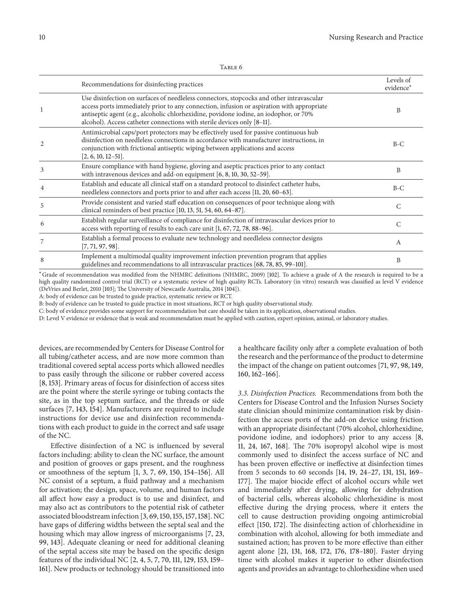| ۰. | ۰, |
|----|----|
|----|----|

|   | Recommendations for disinfecting practices                                                                                                                                                                                                                                                                                                                | Levels of<br>evidence* |
|---|-----------------------------------------------------------------------------------------------------------------------------------------------------------------------------------------------------------------------------------------------------------------------------------------------------------------------------------------------------------|------------------------|
|   | Use disinfection on surfaces of needleless connectors, stopcocks and other intravascular<br>access ports immediately prior to any connection, infusion or aspiration with appropriate<br>antiseptic agent (e.g., alcoholic chlorhexidine, povidone iodine, an iodophor, or 70%<br>alcohol). Access catheter connections with sterile devices only [8-11]. | B                      |
|   | Antimicrobial caps/port protectors may be effectively used for passive continuous hub<br>disinfection on needleless connections in accordance with manufacturer instructions, in<br>conjunction with frictional antiseptic wiping between applications and access<br>$[2, 6, 10, 12-51].$                                                                 | $B-C$                  |
| 3 | Ensure compliance with hand hygiene, gloving and aseptic practices prior to any contact<br>with intravenous devices and add-on equipment [6, 8, 10, 30, 52-59].                                                                                                                                                                                           | B                      |
|   | Establish and educate all clinical staff on a standard protocol to disinfect catheter hubs,<br>needleless connectors and ports prior to and after each access [11, 20, 60-63].                                                                                                                                                                            | $B-C$                  |
| 5 | Provide consistent and varied staff education on consequences of poor technique along with<br>clinical reminders of best practice [10, 13, 51, 54, 60, 64-87].                                                                                                                                                                                            | C                      |
| 6 | Establish regular surveillance of compliance for disinfection of intravascular devices prior to<br>access with reporting of results to each care unit [1, 67, 72, 78, 88-96].                                                                                                                                                                             | C                      |
|   | Establish a formal process to evaluate new technology and needleless connector designs<br>$[7, 71, 97, 98]$ .                                                                                                                                                                                                                                             | A                      |
| 8 | Implement a multimodal quality improvement infection prevention program that applies<br>guidelines and recommendations to all intravascular practices [68, 78, 85, 99-101].                                                                                                                                                                               | B                      |

<sup>∗</sup>Grade of recommendation was modified from the NHMRC definitions (NHMRC, 2009) [102]. To achieve a grade of A the research is required to be a high quality randomized control trial (RCT) or a systematic review of high quality RCTs. Laboratory (in vitro) research was classified as level V evidence (DeVries and Berlet, 2010 [103]; The University of Newcastle Australia, 2014 [104]).

A: body of evidence can be trusted to guide practice, systematic review or RCT.

B: body of evidence can be trusted to guide practice in most situations, RCT or high quality observational study.

C: body of evidence provides some support for recommendation but care should be taken in its application, observational studies.

D: Level V evidence or evidence that is weak and recommendation must be applied with caution, expert opinion, animal, or laboratory studies.

devices, are recommended by Centers for Disease Control for all tubing/catheter access, and are now more common than traditional covered septal access ports which allowed needles to pass easily through the silicone or rubber covered access [8, 153]. Primary areas of focus for disinfection of access sites are the point where the sterile syringe or tubing contacts the site, as in the top septum surface, and the threads or side surfaces [7, 143, 154]. Manufacturers are required to include instructions for device use and disinfection recommendations with each product to guide in the correct and safe usage of the NC.

Effective disinfection of a NC is influenced by several factors including: ability to clean the NC surface, the amount and position of grooves or gaps present, and the roughness or smoothness of the septum [1, 3, 7, 69, 150, 154–156]. All NC consist of a septum, a fluid pathway and a mechanism for activation; the design, space, volume, and human factors all affect how easy a product is to use and disinfect, and may also act as contributors to the potential risk of catheter associated bloodstream infection [3, 69,150,155,157,158]. NC have gaps of differing widths between the septal seal and the housing which may allow ingress of microorganisms [7, 23, 99, 143]. Adequate cleaning or need for additional cleaning of the septal access site may be based on the specific design features of the individual NC [2, 4, 5, 7, 70, 111, 129, 153, 159– 161]. New products or technology should be transitioned into a healthcare facility only after a complete evaluation of both the research and the performance of the product to determine the impact of the change on patient outcomes [71, 97, 98, 149, 160, 162–166].

*3.3. Disinfection Practices.* Recommendations from both the Centers for Disease Control and the Infusion Nurses Society state clinician should minimize contamination risk by disinfection the access ports of the add-on device using friction with an appropriate disinfectant (70% alcohol, chlorhexidine, povidone iodine, and iodophors) prior to any access [8, 11, 24, 167, 168]. The 70% isopropyl alcohol wipe is most commonly used to disinfect the access surface of NC and has been proven effective or ineffective at disinfection times from 5 seconds to 60 seconds [14, 19, 24–27, 131, 151, 169– 177]. The major biocide effect of alcohol occurs while wet and immediately after drying, allowing for dehydration of bacterial cells, whereas alcoholic chlorhexidine is most effective during the drying process, where it enters the cell to cause destruction providing ongoing antimicrobial effect [150, 172]. The disinfecting action of chlorhexidine in combination with alcohol, allowing for both immediate and sustained action; has proven to be more effective than either agent alone [21, 131, 168, 172, 176, 178–180]. Faster drying time with alcohol makes it superior to other disinfection agents and provides an advantage to chlorhexidine when used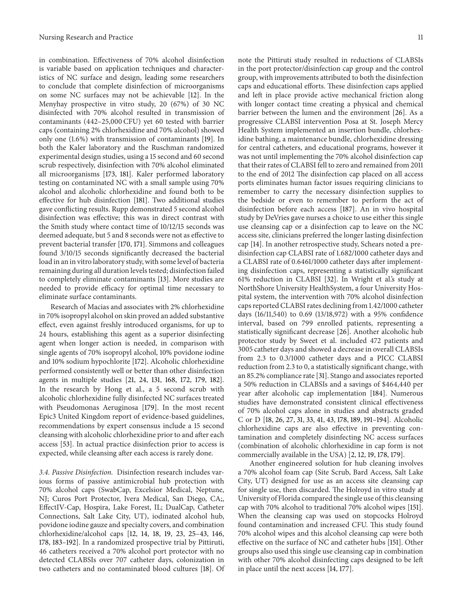in combination. Effectiveness of 70% alcohol disinfection is variable based on application techniques and characteristics of NC surface and design, leading some researchers to conclude that complete disinfection of microorganisms on some NC surfaces may not be achievable [12]. In the Menyhay prospective in vitro study, 20 (67%) of 30 NC disinfected with 70% alcohol resulted in transmission of contaminants (442–25,000 CFU) yet 60 tested with barrier caps (containing 2% chlorhexidine and 70% alcohol) showed only one (1.6%) with transmission of contaminants [19]. In both the Kaler laboratory and the Ruschman randomized experimental design studies, using a 15 second and 60 second scrub respectively, disinfection with 70% alcohol eliminated all microorganisms [173, 181]. Kaler performed laboratory testing on contaminated NC with a small sample using 70% alcohol and alcoholic chlorhexidine and found both to be effective for hub disinfection [181]. Two additional studies gave conflicting results. Rupp demonstrated 5 second alcohol disinfection was effective; this was in direct contrast with the Smith study where contact time of 10/12/15 seconds was deemed adequate, but 5 and 8 seconds were not as effective to prevent bacterial transfer [170, 171]. Simmons and colleagues found 3/10/15 seconds significantly decreased the bacterial load in an in vitro laboratory study, with some level of bacteria remaining during all duration levels tested; disinfection failed to completely eliminate contaminants [13]. More studies are needed to provide efficacy for optimal time necessary to eliminate surface contaminants.

Research of Macias and associates with 2% chlorhexidine in 70% isopropyl alcohol on skin proved an added substantive effect, even against freshly introduced organisms, for up to 24 hours, establishing this agent as a superior disinfecting agent when longer action is needed, in comparison with single agents of 70% isopropyl alcohol, 10% povidone iodine and 10% sodium hypochlorite [172]. Alcoholic chlorhexidine performed consistently well or better than other disinfection agents in multiple studies [21, 24, 131, 168, 172, 179, 182]. In the research by Hong et al., a 5 second scrub with alcoholic chlorhexidine fully disinfected NC surfaces treated with Pseudomonas Aeruginosa [179]. In the most recent Epic3 United Kingdom report of evidence-based guidelines, recommendations by expert consensus include a 15 second cleansing with alcoholic chlorhexidine prior to and after each access [53]. In actual practice disinfection prior to access is expected, while cleansing after each access is rarely done.

*3.4. Passive Disinfection.* Disinfection research includes various forms of passive antimicrobial hub protection with 70% alcohol caps (SwabCap, Excelsior Medical, Neptune, NJ; Curos Port Protector, Ivera Medical, San Diego, CA;, EffectIV-Cap, Hospira, Lake Forest, IL; DualCap, Catheter Connections, Salt Lake City, UT), iodinated alcohol hub, povidone iodine gauze and specialty covers, and combination chlorhexidine/alcohol caps [12, 14, 18, 19, 23, 25–43, 146, 178, 183–192]. In a randomized prospective trial by Pittiruti, 46 catheters received a 70% alcohol port protector with no detected CLABSIs over 707 catheter days, colonization in two catheters and no contaminated blood cultures [18]. Of note the Pittiruti study resulted in reductions of CLABSIs in the port protector/disinfection cap group and the control group, with improvements attributed to both the disinfection caps and educational efforts. These disinfection caps applied and left in place provide active mechanical friction along with longer contact time creating a physical and chemical barrier between the lumen and the environment [26]. As a progressive CLABSI intervention Posa at St. Joseph Mercy Health System implemented an insertion bundle, chlorhexidine bathing, a maintenance bundle, chlorhexidine dressing for central catheters, and educational programs, however it was not until implementing the 70% alcohol disinfection cap that their rates of CLABSI fell to zero and remained from 2011 to the end of 2012 The disinfection cap placed on all access ports eliminates human factor issues requiring clinicians to remember to carry the necessary disinfection supplies to the bedside or even to remember to perform the act of disinfection before each access [187]. An in vivo hospital study by DeVries gave nurses a choice to use either this single use cleansing cap or a disinfection cap to leave on the NC access site, clinicians preferred the longer lasting disinfection cap [14]. In another retrospective study, Schears noted a predisinfection cap CLABSI rate of 1.682/1000 catheter days and a CLABSI rate of 0.6461/1000 catheter days after implementing disinfection caps, representing a statistically significant 61% reduction in CLABSI [32]. In Wright et al.'s study at NorthShore University HealthSystem, a four University Hospital system, the intervention with 70% alcohol disinfection caps reported CLABSI rates declining from 1.42/1000 catheter days (16/11,540) to 0.69 (13/18,972) with a 95% confidence interval, based on 799 enrolled patients, representing a statistically significant decrease [26]. Another alcoholic hub protector study by Sweet et al. included 472 patients and 3005 catheter days and showed a decrease in overall CLABSIs from 2.3 to 0.3/1000 catheter days and a PICC CLABSI reduction from 2.3 to 0, a statistically significant change, with an 85.2% compliance rate [31]. Stango and associates reported a 50% reduction in CLABSIs and a savings of \$464,440 per year after alcoholic cap implementation [184]. Numerous studies have demonstrated consistent clinical effectiveness of 70% alcohol caps alone in studies and abstracts graded C or D [18, 26, 27, 31, 33, 41, 43, 178, 189, 191–194]. Alcoholic chlorhexidine caps are also effective in preventing contamination and completely disinfecting NC access surfaces (combination of alcoholic chlorhexidine in cap form is not commercially available in the USA) [2, 12, 19, 178, 179].

Another engineered solution for hub cleaning involves a 70% alcohol foam cap (Site Scrub, Bard Access, Salt Lake City, UT) designed for use as an access site cleansing cap for single use, then discarded. The Holroyd in vitro study at University of Florida compared the single use of this cleansing cap with 70% alcohol to traditional 70% alcohol wipes [151]. When the cleansing cap was used on stopcocks Holroyd found contamination and increased CFU. This study found 70% alcohol wipes and this alcohol cleansing cap were both effective on the surface of NC and catheter hubs [151]. Other groups also used this single use cleansing cap in combination with other 70% alcohol disinfecting caps designed to be left in place until the next access [14, 177].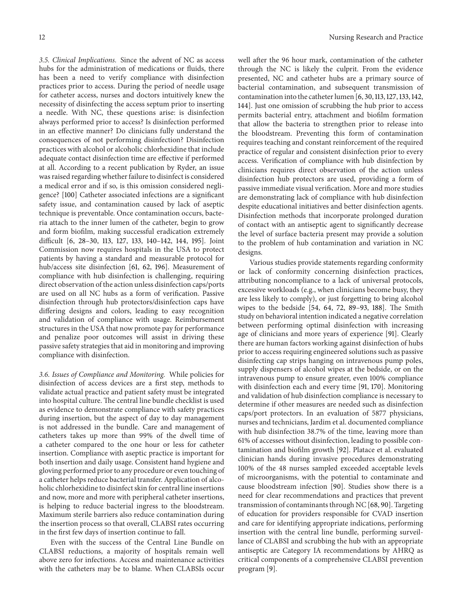*3.5. Clinical Implications.* Since the advent of NC as access hubs for the administration of medications or fluids, there has been a need to verify compliance with disinfection practices prior to access. During the period of needle usage for catheter access, nurses and doctors intuitively knew the necessity of disinfecting the access septum prior to inserting a needle. With NC, these questions arise: is disinfection always performed prior to access? Is disinfection performed in an effective manner? Do clinicians fully understand the consequences of not performing disinfection? Disinfection practices with alcohol or alcoholic chlorhexidine that include adequate contact disinfection time are effective if performed at all. According to a recent publication by Ryder, an issue was raised regarding whether failure to disinfect is considered a medical error and if so, is this omission considered negligence? [100] Catheter associated infections are a significant safety issue, and contamination caused by lack of aseptic technique is preventable. Once contamination occurs, bacteria attach to the inner lumen of the catheter, begin to grow and form biofilm, making successful eradication extremely difficult [6, 28–30, 113, 127, 133, 140–142, 144, 195]. Joint Commission now requires hospitals in the USA to protect patients by having a standard and measurable protocol for hub/access site disinfection [61, 62, 196]. Measurement of compliance with hub disinfection is challenging, requiring direct observation of the action unless disinfection caps/ports are used on all NC hubs as a form of verification. Passive disinfection through hub protectors/disinfection caps have differing designs and colors, leading to easy recognition and validation of compliance with usage. Reimbursement structures in the USA that now promote pay for performance and penalize poor outcomes will assist in driving these passive safety strategies that aid in monitoring and improving compliance with disinfection.

*3.6. Issues of Compliance and Monitoring.* While policies for disinfection of access devices are a first step, methods to validate actual practice and patient safety must be integrated into hospital culture. The central line bundle checklist is used as evidence to demonstrate compliance with safety practices during insertion, but the aspect of day to day management is not addressed in the bundle. Care and management of catheters takes up more than 99% of the dwell time of a catheter compared to the one hour or less for catheter insertion. Compliance with aseptic practice is important for both insertion and daily usage. Consistent hand hygiene and gloving performed prior to any procedure or even touching of a catheter helps reduce bacterial transfer. Application of alcoholic chlorhexidine to disinfect skin for central line insertions and now, more and more with peripheral catheter insertions, is helping to reduce bacterial ingress to the bloodstream. Maximum sterile barriers also reduce contamination during the insertion process so that overall, CLABSI rates occurring in the first few days of insertion continue to fall.

Even with the success of the Central Line Bundle on CLABSI reductions, a majority of hospitals remain well above zero for infections. Access and maintenance activities with the catheters may be to blame. When CLABSIs occur well after the 96 hour mark, contamination of the catheter through the NC is likely the culprit. From the evidence presented, NC and catheter hubs are a primary source of bacterial contamination, and subsequent transmission of contamination into the catheter lumen [6, 30,113,127,133,142, 144]. Just one omission of scrubbing the hub prior to access permits bacterial entry, attachment and biofilm formation that allow the bacteria to strengthen prior to release into the bloodstream. Preventing this form of contamination requires teaching and constant reinforcement of the required practice of regular and consistent disinfection prior to every access. Verification of compliance with hub disinfection by clinicians requires direct observation of the action unless disinfection hub protectors are used, providing a form of passive immediate visual verification. More and more studies are demonstrating lack of compliance with hub disinfection despite educational initiatives and better disinfection agents. Disinfection methods that incorporate prolonged duration of contact with an antiseptic agent to significantly decrease the level of surface bacteria present may provide a solution to the problem of hub contamination and variation in NC designs.

Various studies provide statements regarding conformity or lack of conformity concerning disinfection practices, attributing noncompliance to a lack of universal protocols, excessive workloads (e.g., when clinicians become busy, they are less likely to comply), or just forgetting to bring alcohol wipes to the bedside [54, 64, 72, 89–93, 188]. The Smith study on behavioral intention indicated a negative correlation between performing optimal disinfection with increasing age of clinicians and more years of experience [91]. Clearly there are human factors working against disinfection of hubs prior to access requiring engineered solutions such as passive disinfecting cap strips hanging on intravenous pump poles, supply dispensers of alcohol wipes at the bedside, or on the intravenous pump to ensure greater, even 100% compliance with disinfection each and every time [91, 170]. Monitoring and validation of hub disinfection compliance is necessary to determine if other measures are needed such as disinfection caps/port protectors. In an evaluation of 5877 physicians, nurses and technicians, Jardim et al. documented compliance with hub disinfection 38.7% of the time, leaving more than 61% of accesses without disinfection, leading to possible contamination and biofilm growth [92]. Platace et al. evaluated clinician hands during invasive procedures demonstrating 100% of the 48 nurses sampled exceeded acceptable levels of microorganisms, with the potential to contaminate and cause bloodstream infection [90]. Studies show there is a need for clear recommendations and practices that prevent transmission of contaminants through NC [68, 90]. Targeting of education for providers responsible for CVAD insertion and care for identifying appropriate indications, performing insertion with the central line bundle, performing surveillance of CLABSI and scrubbing the hub with an appropriate antiseptic are Category IA recommendations by AHRQ as critical components of a comprehensive CLABSI prevention program [9].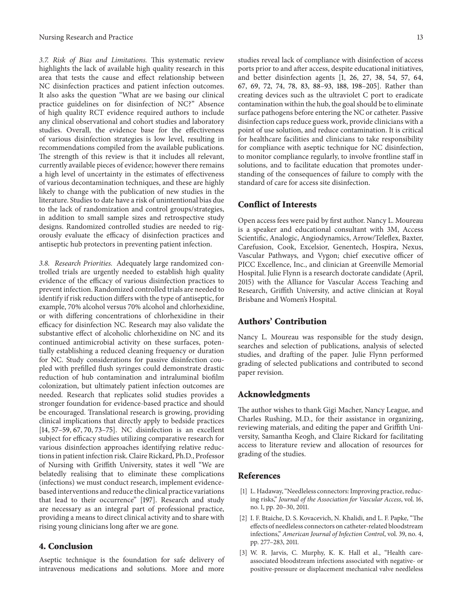*3.7. Risk of Bias and Limitations.* This systematic review highlights the lack of available high quality research in this area that tests the cause and effect relationship between NC disinfection practices and patient infection outcomes. It also asks the question "What are we basing our clinical practice guidelines on for disinfection of NC?" Absence of high quality RCT evidence required authors to include any clinical observational and cohort studies and laboratory studies. Overall, the evidence base for the effectiveness of various disinfection strategies is low level, resulting in recommendations compiled from the available publications. The strength of this review is that it includes all relevant, currently available pieces of evidence; however there remains a high level of uncertainty in the estimates of effectiveness of various decontamination techniques, and these are highly likely to change with the publication of new studies in the literature. Studies to date have a risk of unintentional bias due to the lack of randomization and control groups/strategies, in addition to small sample sizes and retrospective study designs. Randomized controlled studies are needed to rigorously evaluate the efficacy of disinfection practices and antiseptic hub protectors in preventing patient infection.

*3.8. Research Priorities.* Adequately large randomized controlled trials are urgently needed to establish high quality evidence of the efficacy of various disinfection practices to prevent infection. Randomized controlled trials are needed to identify if risk reduction differs with the type of antiseptic, for example, 70% alcohol versus 70% alcohol and chlorhexidine, or with differing concentrations of chlorhexidine in their efficacy for disinfection NC. Research may also validate the substantive effect of alcoholic chlorhexidine on NC and its continued antimicrobial activity on these surfaces, potentially establishing a reduced cleaning frequency or duration for NC. Study considerations for passive disinfection coupled with prefilled flush syringes could demonstrate drastic reduction of hub contamination and intraluminal biofilm colonization, but ultimately patient infection outcomes are needed. Research that replicates solid studies provides a stronger foundation for evidence-based practice and should be encouraged. Translational research is growing, providing clinical implications that directly apply to bedside practices [14, 57–59, 67, 70, 73–75]. NC disinfection is an excellent subject for efficacy studies utilizing comparative research for various disinfection approaches identifying relative reductions in patient infection risk. Claire Rickard, Ph.D., Professor of Nursing with Griffith University, states it well "We are belatedly realising that to eliminate these complications (infections) we must conduct research, implement evidencebased interventions and reduce the clinical practice variations that lead to their occurrence" [197]. Research and study are necessary as an integral part of professional practice, providing a means to direct clinical activity and to share with rising young clinicians long after we are gone.

#### **4. Conclusion**

Aseptic technique is the foundation for safe delivery of intravenous medications and solutions. More and more studies reveal lack of compliance with disinfection of access ports prior to and after access, despite educational initiatives, and better disinfection agents [1, 26, 27, 38, 54, 57, 64, 67, 69, 72, 74, 78, 83, 88–93, 188, 198–205]. Rather than creating devices such as the ultraviolet C port to eradicate contamination within the hub, the goal should be to eliminate surface pathogens before entering the NC or catheter. Passive disinfection caps reduce guess work, provide clinicians with a point of use solution, and reduce contamination. It is critical for healthcare facilities and clinicians to take responsibility for compliance with aseptic technique for NC disinfection, to monitor compliance regularly, to involve frontline staff in solutions, and to facilitate education that promotes understanding of the consequences of failure to comply with the standard of care for access site disinfection.

#### **Conflict of Interests**

Open access fees were paid by first author. Nancy L. Moureau is a speaker and educational consultant with 3M, Access Scientific, Analogic, Angiodynamics, Arrow/Teleflex, Baxter, Carefusion, Cook, Excelsior, Genentech, Hospira, Nexus, Vascular Pathways, and Vygon; chief executive officer of PICC Excellence, Inc., and clinician at Greenville Memorial Hospital. Julie Flynn is a research doctorate candidate (April, 2015) with the Alliance for Vascular Access Teaching and Research, Griffith University, and active clinician at Royal Brisbane and Women's Hospital.

#### **Authors' Contribution**

Nancy L. Moureau was responsible for the study design, searches and selection of publications, analysis of selected studies, and drafting of the paper. Julie Flynn performed grading of selected publications and contributed to second paper revision.

#### **Acknowledgments**

The author wishes to thank Gigi Macher, Nancy League, and Charles Rushing, M.D., for their assistance in organizing, reviewing materials, and editing the paper and Griffith University, Samantha Keogh, and Claire Rickard for facilitating access to literature review and allocation of resources for grading of the studies.

#### **References**

- [1] L. Hadaway, "Needleless connectors: Improving practice, reducing risks," *Journal of the Association for Vascular Access*, vol. 16, no. 1, pp. 20–30, 2011.
- [2] I. F. Btaiche, D. S. Kovacevich, N. Khalidi, and L. F. Papke, "The effects of needleless connectors on catheter-related bloodstream infections," *American Journal of Infection Control*, vol. 39, no. 4, pp. 277–283, 2011.
- [3] W. R. Jarvis, C. Murphy, K. K. Hall et al., "Health careassociated bloodstream infections associated with negative- or positive-pressure or displacement mechanical valve needleless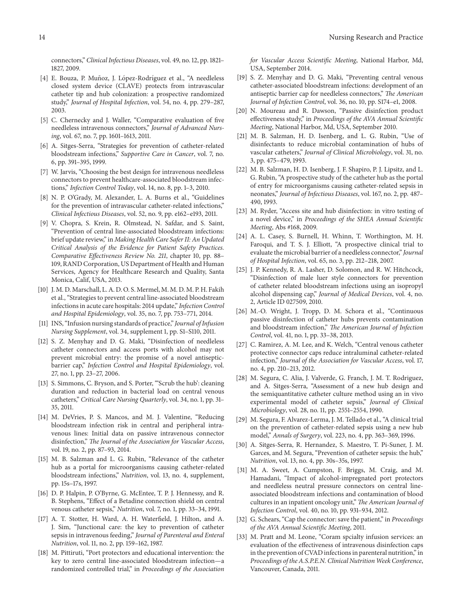connectors," *Clinical Infectious Diseases*, vol. 49, no. 12, pp. 1821– 1827, 2009.

- [4] E. Bouza, P. Muñoz, J. López-Rodríguez et al., "A needleless closed system device (CLAVE) protects from intravascular catheter tip and hub colonization: a prospective randomized study," *Journal of Hospital Infection*, vol. 54, no. 4, pp. 279–287, 2003.
- [5] C. Chernecky and J. Waller, "Comparative evaluation of five needleless intravenous connectors," *Journal of Advanced Nursing*, vol. 67, no. 7, pp. 1601–1613, 2011.
- [6] A. Sitges-Serra, "Strategies for prevention of catheter-related bloodstream infections," *Supportive Care in Cancer*, vol. 7, no. 6, pp. 391–395, 1999.
- [7] W. Jarvis, "Choosing the best design for intravenous needleless connectors to prevent healthcare-associated bloodstream infections," *Infection Control Today*, vol. 14, no. 8, pp. 1–3, 2010.
- [8] N. P. O'Grady, M. Alexander, L. A. Burns et al., "Guidelines for the prevention of intravascular catheter-related infections," *Clinical Infectious Diseases*, vol. 52, no. 9, pp. e162–e193, 2011.
- [9] V. Chopra, S. Krein, R. Olmstead, N. Safdar, and S. Saint, "Prevention of central line-associated bloodstream infections: brief update review," in *Making Health Care Safer II: An Updated Critical Analysis of the Evidence for Patient Safety Practices. Comparative Effectiveness Review No. 211*, chapter 10, pp. 88– 109, RAND Corporation, US Department of Health and Human Services, Agency for Healthcare Research and Quality, Santa Monica, Calif, USA, 2013.
- [10] J. M. D. Marschall, L. A. D. O. S. Mermel, M. M. D. M. P. H. Fakih et al., "Strategies to prevent central line-associated bloodstream infections in acute care hospitals: 2014 update," *Infection Control and Hospital Epidemiology*, vol. 35, no. 7, pp. 753–771, 2014.
- [11] INS, "Infusion nursing standards of practice," *Journal of Infusion Nursing Supplement*, vol. 34, supplement 1, pp. S1–S110, 2011.
- [12] S. Z. Menyhay and D. G. Maki, "Disinfection of needleless catheter connectors and access ports with alcohol may not prevent microbial entry: the promise of a novel antisepticbarrier cap," *Infection Control and Hospital Epidemiology*, vol. 27, no. 1, pp. 23–27, 2006.
- [13] S. Simmons, C. Bryson, and S. Porter, "Scrub the hub': cleaning duration and reduction in bacterial load on central venous catheters," *Critical Care Nursing Quarterly*, vol. 34, no. 1, pp. 31– 35, 2011.
- [14] M. DeVries, P. S. Mancos, and M. J. Valentine, "Reducing bloodstream infection risk in central and peripheral intravenous lines: Initial data on passive intravenous connector disinfection," *The Journal of the Association for Vascular Access*, vol. 19, no. 2, pp. 87–93, 2014.
- [15] M. B. Salzman and L. G. Rubin, "Relevance of the catheter hub as a portal for microorganisms causing catheter-related bloodstream infections," *Nutrition*, vol. 13, no. 4, supplement, pp. 15s–17s, 1997.
- [16] D. P. Halpin, P. O'Byrne, G. McEntee, T. P. J. Hennessy, and R. B. Stephens, "Effect of a Betadine connection shield on central venous catheter sepsis," *Nutrition*, vol. 7, no. 1, pp. 33–34, 1991.
- [17] A. T. Stotter, H. Ward, A. H. Waterfield, J. Hilton, and A. J. Sim, "Junctional care: the key to prevention of catheter sepsis in intravenous feeding," *Journal of Parenteral and Enteral Nutrition*, vol. 11, no. 2, pp. 159–162, 1987.
- [18] M. Pittiruti, "Port protectors and educational intervention: the key to zero central line-associated bloodstream infection—a randomized controlled trial," in *Proceedings of the Association*

*for Vascular Access Scientific Meeting*, National Harbor, Md, USA, September 2014.

- [19] S. Z. Menyhay and D. G. Maki, "Preventing central venous catheter-associated bloodstream infections: development of an antiseptic barrier cap for needleless connectors," *The American Journal of Infection Control*, vol. 36, no. 10, pp. S174–e1, 2008.
- [20] N. Moureau and R. Dawson, "Passive disinfection product effectiveness study," in *Proceedings of the AVA Annual Scientific Meeting*, National Harbor, Md, USA, September 2010.
- [21] M. B. Salzman, H. D. Isenberg, and L. G. Rubin, "Use of disinfectants to reduce microbial contamination of hubs of vascular catheters," *Journal of Clinical Microbiology*, vol. 31, no. 3, pp. 475–479, 1993.
- [22] M. B. Salzman, H. D. Isenberg, J. F. Shapiro, P. J. Lipsitz, and L. G. Rubin, "A prospective study of the catheter hub as the portal of entry for microorganisms causing catheter-related sepsis in neonates," *Journal of Infectious Diseases*, vol. 167, no. 2, pp. 487– 490, 1993.
- [23] M. Ryder, "Access site and hub disinfection: in vitro testing of a novel device," in *Proceedings of the SHEA Annual Scientific Meeting*, Abs #168, 2009.
- [24] A. L. Casey, S. Burnell, H. Whinn, T. Worthington, M. H. Faroqui, and T. S. J. Elliott, "A prospective clinical trial to evaluate the microbial barrier of a needleless connector," *Journal of Hospital Infection*, vol. 65, no. 3, pp. 212–218, 2007.
- [25] J. P. Kennedy, R. A. Lasher, D. Solomon, and R. W. Hitchcock, "Disinfection of male luer style connectors for prevention of catheter related bloodstream infections using an isopropyl alcohol dispensing cap," *Journal of Medical Devices*, vol. 4, no. 2, Article ID 027509, 2010.
- [26] M.-O. Wright, J. Tropp, D. M. Schora et al., "Continuous passive disinfection of catheter hubs prevents contamination and bloodstream infection," *The American Journal of Infection Control*, vol. 41, no. 1, pp. 33–38, 2013.
- [27] C. Ramirez, A. M. Lee, and K. Welch, "Central venous catheter protective connector caps reduce intraluminal catheter-related infection," *Journal of the Association for Vascular Access*, vol. 17, no. 4, pp. 210–213, 2012.
- [28] M. Segura, C. Alia, J. Valverde, G. Franch, J. M. T. Rodriguez, and A. Sitges-Serra, "Assessment of a new hub design and the semiquantitative catheter culture method using an in vivo experimental model of catheter sepsis," *Journal of Clinical Microbiology*, vol. 28, no. 11, pp. 2551–2554, 1990.
- [29] M. Segura, F. Alvarez-Lerma, J. M. Tellado et al., "A clinical trial on the prevention of catheter-related sepsis using a new hub model," *Annals of Surgery*, vol. 223, no. 4, pp. 363–369, 1996.
- [30] A. Sitges-Serra, R. Hernandez, S. Maestro, T. Pi-Suner, J. M. Garces, and M. Segura, "Prevention of catheter sepsis: the hub," *Nutrition*, vol. 13, no. 4, pp. 30s–35s, 1997.
- [31] M. A. Sweet, A. Cumpston, F. Briggs, M. Craig, and M. Hamadani, "Impact of alcohol-impregnated port protectors and needleless neutral pressure connectors on central lineassociated bloodstream infections and contamination of blood cultures in an inpatient oncology unit," *The American Journal of Infection Control*, vol. 40, no. 10, pp. 931–934, 2012.
- [32] G. Schears, "Cap the connector: save the patient," in *Proceedings of the AVA Annual Scientific Meeting*, 2011.
- [33] M. Pratt and M. Leone, "Coram spcialty infusion services: an evaluation of the effectiveness of intravenous disinfection caps in the prevention of CVAD infections in parenteral nutrition," in *Proceedings of the A.S.P.E.N. Clinical Nutrition Week Conference*, Vancouver, Canada, 2011.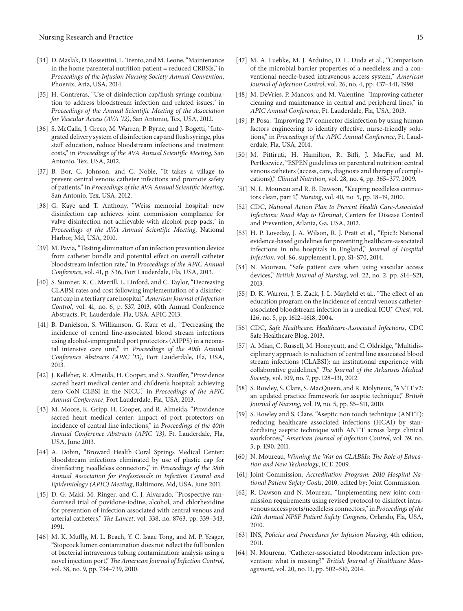- [34] D. Maslak, D. Rossettini, L. Trento, and M. Leone, "Maintenance in the home parenteral nutrition patient = reduced CRBSIs," in *Proceedings of the Infusion Nursing Society Annual Convention*, Phoenix, Ariz, USA, 2014.
- [35] H. Contreras, "Use of disinfection cap/flush syringe combination to address bloodstream infection and related issues," in *Proceedings of the Annual Scientific Meeting of the Association for Vascular Access (AVA '12)*, San Antonio, Tex, USA, 2012.
- [36] S. McCalla, J. Greco, M. Warren, P. Byrne, and J. Bogetti, "Integrated delivery system of disinfection cap and flush syringe, plus staff education, reduce bloodstream infections and treatment costs," in *Proceedings of the AVA Annual Scientific Meeting*, San Antonio, Tex, USA, 2012.
- [37] B. Bor, C. Johnson, and C. Noble, "It takes a village to prevent central venous catheter infections and promote safety of patients," in *Proceedings of the AVA Annual Scientific Meeting*, San Antonio, Tex, USA, 2012.
- [38] G. Kaye and T. Anthony, "Weiss memorial hospital: new disinfection cap achieves joint commission compliance for valve disinfection not achievable with alcohol prep pads," in *Proceedings of the AVA Annual Scientific Meeting*, National Harbor, Md, USA, 2010.
- [39] M. Pavia, "Testing elimination of an infection prevention device from catheter bundle and potential effect on overall catheter bloodstream infection rate," in *Proceedings of the APIC Annual Conference*, vol. 41, p. S36, Fort Lauderdale, Fla, USA, 2013.
- [40] S. Sumner, K. C. Merrill, L. Linford, and C. Taylor, "Decreasing CLABSI rates and cost following implementation of a disinfectant cap in a tertiary care hospital,"*American Journal of Infection Control*, vol. 41, no. 6, p. S37, 2013, 40th Annual Conference Abstracts, Ft. Lauderdale, Fla, USA, APIC 2013.
- [41] B. Danielson, S. Williamson, G. Kaur et al., "Decreasing the incidence of central line-associated blood stream infections using alcohol-impregnated port protectors (AIPPS) in a neonatal intensive care unit," in *Proceedings of the 40th Annual Conference Abstracts (APIC '13)*, Fort Lauderdale, Fla, USA, 2013.
- [42] J. Kelleher, R. Almeida, H. Cooper, and S. Stauffer, "Providence sacred heart medical center and children's hospital: achieving zero CoN CLBSI in the NICU," in *Proceedings of the APIC Annual Conference*, Fort Lauderdale, Fla, USA, 2013.
- [43] M. Moore, K. Gripp, H. Cooper, and R. Almeida, "Providence sacred heart medical center: impact of port protectors on incidence of central line infections," in *Proceedings of the 40th Annual Conference Abstracts (APIC '13)*, Ft. Lauderdale, Fla, USA, June 2013.
- [44] A. Dobin, "Broward Health Coral Springs Medical Center: bloodstream infections eliminated by use of plastic cap for disinfecting needleless connectors," in *Proceedings of the 38th Annual Association for Professionals in Infection Control and Epidemiology (APIC) Meeting*, Baltimore, Md, USA, June 2011.
- [45] D. G. Maki, M. Ringer, and C. J. Alvarado, "Prospective randomised trial of povidone-iodine, alcohol, and chlorhexidine for prevention of infection associated with central venous and arterial catheters," *The Lancet*, vol. 338, no. 8763, pp. 339–343, 1991.
- [46] M. K. Muffly, M. L. Beach, Y. C. Isaac Tong, and M. P. Yeager, "Stopcock lumen contamination does not reflect the full burden of bacterial intravenous tubing contamination: analysis using a novel injection port," *The American Journal of Infection Control*, vol. 38, no. 9, pp. 734–739, 2010.
- [47] M. A. Luebke, M. J. Arduino, D. L. Duda et al., "Comparison of the microbial barrier properties of a needleless and a conventional needle-based intravenous access system," *American Journal of Infection Control*, vol. 26, no. 4, pp. 437–441, 1998.
- [48] M. DeVries, P. Mancos, and M. Valentine, "Improving catheter cleaning and maintenance in central and peripheral lines," in *APIC Annual Conference*, Ft. Lauderdale, Fla, USA, 2013.
- [49] P. Posa, "Improving IV connector disinfection by using human factors engineering to identify effective, nurse-friendly solutions," in *Proceedings of the APIC Annual Conference*, Ft. Lauderdale, Fla, USA, 2014.
- [50] M. Pittiruti, H. Hamilton, R. Biffi, J. MacFie, and M. Pertkiewicz, "ESPEN guidelines on parenteral nutrition: central venous catheters (access, care, diagnosis and therapy of complications)," *Clinical Nutrition*, vol. 28, no. 4, pp. 365–377, 2009.
- [51] N. L. Moureau and R. B. Dawson, "Keeping needleless connectors clean, part 1," *Nursing*, vol. 40, no. 5, pp. 18–19, 2010.
- [52] CDC, *National Action Plan to Prevent Health Care-Associated Infections: Road Map to Eliminat*, Centers for Disease Control and Prevention, Atlanta, Ga, USA, 2012.
- [53] H. P. Loveday, J. A. Wilson, R. J. Pratt et al., "Epic3: National evidence-based guidelines for preventing healthcare-associated infections in nhs hospitals in England," *Journal of Hospital Infection*, vol. 86, supplement 1, pp. S1–S70, 2014.
- [54] N. Moureau, "Safe patient care when using vascular access devices," *British Journal of Nursing*, vol. 22, no. 2, pp. S14–S21, 2013.
- [55] D. K. Warren, J. E. Zack, J. L. Mayfield et al., "The effect of an education program on the incidence of central venous catheterassociated bloodstream infection in a medical ICU," *Chest*, vol. 126, no. 5, pp. 1612–1618, 2004.
- [56] CDC, *Safe Healthcare: Healthcare-Associated Infections*, CDC Safe Healthcare Blog, 2013.
- [57] A. Mian, C. Russell, M. Honeycutt, and C. Oldridge, "Multidisciplinary approach to reduction of central line associated blood stream infections (CLABSI): an institutional experience with collaborative guidelines," *The Journal of the Arkansas Medical Society*, vol. 109, no. 7, pp. 128–131, 2012.
- [58] S. Rowley, S. Clare, S. MacQueen, and R. Molyneux, "ANTT v2: an updated practice framework for aseptic technique," *British Journal of Nursing*, vol. 19, no. 5, pp. S5–S11, 2010.
- [59] S. Rowley and S. Clare, "Aseptic non touch technique (ANTT): reducing healthcare associated infections (HCAI) by standardising aseptic technique with ANTT across large clinical workforces," *American Journal of Infection Control*, vol. 39, no. 5, p. E90, 2011.
- [60] N. Moureau, *Winning the War on CLABSIs: The Role of Education and New Technology*, ICT, 2009.
- [61] Joint Commission, *Accreditation Program: 2010 Hospital National Patient Safety Goals*, 2010, edited by: Joint Commission.
- [62] R. Dawson and N. Moureau, "Implementing new joint commission requirements using revised protocol to disinfect intravenous access ports/needleless connectors," in *Proceedings of the 12th Annual NPSF Patient Safety Congress*, Orlando, Fla, USA, 2010.
- [63] INS, *Policies and Procedures for Infusion Nursing*, 4th edition, 2011.
- [64] N. Moureau, "Catheter-associated bloodstream infection prevention: what is missing?" *British Journal of Healthcare Management*, vol. 20, no. 11, pp. 502–510, 2014.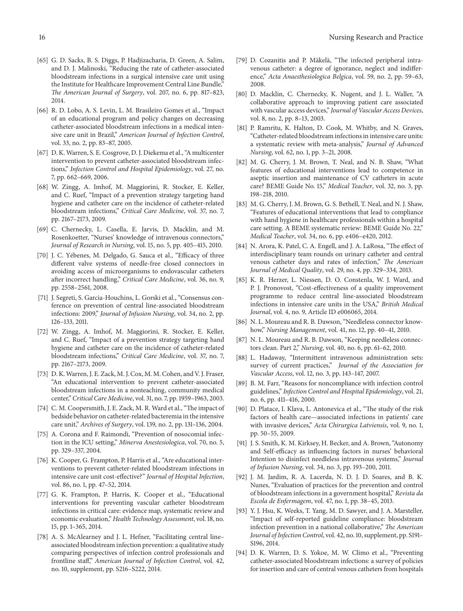- [65] G. D. Sacks, B. S. Diggs, P. Hadjizacharia, D. Green, A. Salim, and D. J. Malinoski, "Reducing the rate of catheter-associated bloodstream infections in a surgical intensive care unit using the Institute for Healthcare Improvement Central Line Bundle," *The American Journal of Surgery*, vol. 207, no. 6, pp. 817–823, 2014.
- [66] R. D. Lobo, A. S. Levin, L. M. Brasileiro Gomes et al., "Impact of an educational program and policy changes on decreasing catheter-associated bloodstream infections in a medical intensive care unit in Brazil," *American Journal of Infection Control*, vol. 33, no. 2, pp. 83–87, 2005.
- [67] D. K. Warren, S. E. Cosgrove, D. J. Diekema et al., "A multicenter intervention to prevent catheter-associated bloodstream infections," *Infection Control and Hospital Epidemiology*, vol. 27, no. 7, pp. 662–669, 2006.
- [68] W. Zingg, A. Imhof, M. Maggiorini, R. Stocker, E. Keller, and C. Ruef, "Impact of a prevention strategy targeting hand hygiene and catheter care on the incidence of catheter-related bloodstream infections," *Critical Care Medicine*, vol. 37, no. 7, pp. 2167–2173, 2009.
- [69] C. Chernecky, L. Casella, E. Jarvis, D. Macklin, and M. Rosenkoetter, "Nurses' knowledge of intravenous connectors," *Journal of Research in Nursing*, vol. 15, no. 5, pp. 405–415, 2010.
- [70] J. C. Yébenes, M. Delgado, G. Sauca et al., "Efficacy of three different valve systems of needle-free closed connectors in avoiding access of microorganisms to endovascular catheters after incorrect handling," *Critical Care Medicine*, vol. 36, no. 9, pp. 2558–2561, 2008.
- [71] J. Segreti, S. Garcia-Houchins, L. Gorski et al., "Consensus conference on prevention of central line-associated bloodstream infections: 2009," *Journal of Infusion Nursing*, vol. 34, no. 2, pp. 126–133, 2011.
- [72] W. Zingg, A. Imhof, M. Maggiorini, R. Stocker, E. Keller, and C. Ruef, "Impact of a prevention strategy targeting hand hygiene and catheter care on the incidence of catheter-related bloodstream infections," *Critical Care Medicine*, vol. 37, no. 7, pp. 2167–2173, 2009.
- [73] D. K. Warren, J. E. Zack, M. J. Cox, M. M. Cohen, and V. J. Fraser, "An educational intervention to prevent catheter-associated bloodstream infections in a nonteaching, community medical center," *Critical Care Medicine*, vol. 31, no. 7, pp. 1959–1963, 2003.
- [74] C. M. Coopersmith, J. E. Zack, M. R. Ward et al., "The impact of bedside behavior on catheter-related bacteremia in the intensive care unit," *Archives of Surgery*, vol. 139, no. 2, pp. 131–136, 2004.
- [75] A. Corona and F. Raimondi, "Prevention of nosocomial infection in the ICU setting," *Minerva Anestesiologica*, vol. 70, no. 5, pp. 329–337, 2004.
- [76] K. Cooper, G. Frampton, P. Harris et al., "Are educational interventions to prevent catheter-related bloodstream infections in intensive care unit cost-effective?" *Journal of Hospital Infection*, vol. 86, no. 1, pp. 47–52, 2014.
- [77] G. K. Frampton, P. Harris, K. Cooper et al., "Educational interventions for preventing vascular catheter bloodstream infections in critical care: evidence map, systematic review and economic evaluation," *Health Technology Assessment*, vol. 18, no. 15, pp. 1–365, 2014.
- [78] A. S. McAlearney and J. L. Hefner, "Facilitating central line– associated bloodstream infection prevention: a qualitative study comparing perspectives of infection control professionals and frontline staff," *American Journal of Infection Control*, vol. 42, no. 10, supplement, pp. S216–S222, 2014.
- [79] D. Cozanitis and P. Mäkelä, "The infected peripheral intravenous catheter: a degree of ignorance, neglect and indifference," *Acta Anaesthesiologica Belgica*, vol. 59, no. 2, pp. 59–63, 2008.
- [80] D. Macklin, C. Chernecky, K. Nugent, and J. L. Waller, "A collaborative approach to improving patient care associated with vascular access devices," *Journal of Vascular Access Devices*, vol. 8, no. 2, pp. 8–13, 2003.
- [81] P. Ramritu, K. Halton, D. Cook, M. Whitby, and N. Graves, "Catheter-related bloodstream infections in intensive care units: a systematic review with meta-analysis," *Journal of Advanced Nursing*, vol. 62, no. 1, pp. 3–21, 2008.
- [82] M. G. Cherry, J. M. Brown, T. Neal, and N. B. Shaw, "What features of educational interventions lead to competence in aseptic insertion and maintenance of CV catheters in acute care? BEME Guide No. 15," *Medical Teacher*, vol. 32, no. 3, pp. 198–218, 2010.
- [83] M. G. Cherry, J. M. Brown, G. S. Bethell, T. Neal, and N. J. Shaw, "Features of educational interventions that lead to compliance with hand hygiene in healthcare professionals within a hospital care setting. A BEME systematic review: BEME Guide No. 22," *Medical Teacher*, vol. 34, no. 6, pp. e406–e420, 2012.
- [84] N. Arora, K. Patel, C. A. Engell, and J. A. LaRosa, "The effect of interdisciplinary team rounds on urinary catheter and central venous catheter days and rates of infection," *The American Journal of Medical Quality*, vol. 29, no. 4, pp. 329–334, 2013.
- [85] K. R. Herzer, L. Niessen, D. O. Constenla, W. J. Ward, and P. J. Pronovost, "Cost-effectiveness of a quality improvement programme to reduce central line-associated bloodstream infections in intensive care units in the USA," *British Medical Journal*, vol. 4, no. 9, Article ID e006065, 2014.
- [86] N. L. Moureau and R. B. Dawson, "Needleless connector knowhow," *Nursing Management*, vol. 41, no. 12, pp. 40–41, 2010.
- [87] N. L. Moureau and R. B. Dawson, "Keeping needleless connectors clean. Part 2," *Nursing*, vol. 40, no. 6, pp. 61–62, 2010.
- [88] L. Hadaway, "Intermittent intravenous administration sets: survey of current practices," *Journal of the Association for Vascular Access*, vol. 12, no. 3, pp. 143–147, 2007.
- [89] B. M. Farr, "Reasons for noncompliance with infection control guidelines," *Infection Control and Hospital Epidemiology*, vol. 21, no. 6, pp. 411–416, 2000.
- [90] D. Platace, I. Klava, L. Antonevica et al., "The study of the risk factors of health care—associated infections in patients' care with invasive devices," *Acta Chirurgica Latviensis*, vol. 9, no. 1, pp. 50–55, 2009.
- [91] J. S. Smith, K. M. Kirksey, H. Becker, and A. Brown, "Autonomy and Self-efficacy as influencing factors in nurses' behavioral Intention to disinfect needleless intravenous systems," *Journal of Infusion Nursing*, vol. 34, no. 3, pp. 193–200, 2011.
- [92] J. M. Jardim, R. A. Lacerda, N. D. J. D. Soares, and B. K. Nunes, "Evaluation of practices for the prevention and control of bloodstream infections in a government hospital," *Revista da Escola de Enfermagem*, vol. 47, no. 1, pp. 38–45, 2013.
- [93] Y. J. Hsu, K. Weeks, T. Yang, M. D. Sawyer, and J. A. Marsteller, "Impact of self-reported guideline compliance: bloodstream infection prevention in a national collaborative," *The American Journal of Infection Control*, vol. 42, no. 10, supplement, pp. S191– S196, 2014.
- [94] D. K. Warren, D. S. Yokoe, M. W. Climo et al., "Preventing catheter-associated bloodstream infections: a survey of policies for insertion and care of central venous catheters from hospitals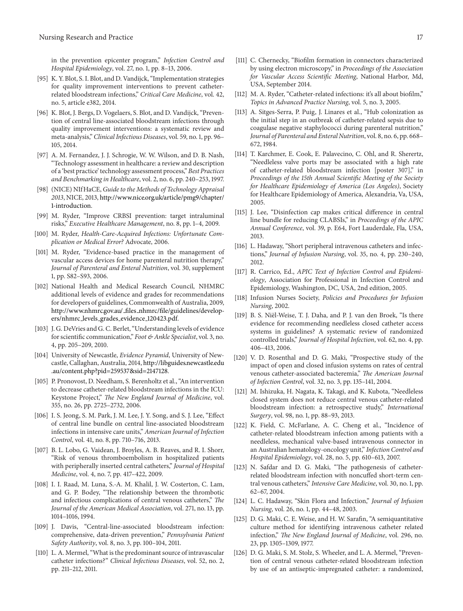in the prevention epicenter program," *Infection Control and Hospital Epidemiology*, vol. 27, no. 1, pp. 8–13, 2006.

- [95] K. Y. Blot, S. I. Blot, and D. Vandijck, "Implementation strategies for quality improvement interventions to prevent catheterrelated bloodstream infections," *Critical Care Medicine*, vol. 42, no. 5, article e382, 2014.
- [96] K. Blot, J. Bergs, D. Vogelaers, S. Blot, and D. Vandijck, "Prevention of central line-associated bloodstream infections through quality improvement interventions: a systematic review and meta-analysis," *Clinical Infectious Diseases*, vol. 59, no. 1, pp. 96– 105, 2014.
- [97] A. M. Fernandez, J. J. Schrogie, W. W. Wilson, and D. B. Nash, "Technology assessment in healthcare: a review and description of a 'best practice' technology assessment process," *Best Practices and Benchmarking in Healthcare*, vol. 2, no. 6, pp. 240–253, 1997.
- [98] (NICE) NIfHaCE, *Guide to the Methods of Technology Appraisal 2013*, NICE, 2013, http://www.nice.org.uk/article/pmg9/chapter/ 1-introduction.
- [99] M. Ryder, "Improve CRBSI prevention: target intraluminal risks," *Executive Healthcare Management*, no. 8, pp. 1–4, 2009.
- [100] M. Ryder, *Health-Care-Acquired Infections: Unfortunate Complication or Medical Error?* Advocate, 2006.
- [101] M. Ryder, "Evidence-based practice in the management of vascular access devices for home parenteral nutrition therapy," *Journal of Parenteral and Enteral Nutrition*, vol. 30, supplement 1, pp. S82–S93, 2006.
- [102] National Health and Medical Research Council, NHMRC additional levels of evidence and grades for recommendations for developers of guidelines, Commonwealth of Australia, 2009, http://www.nhmrc.gov.au/ files nhmrc/file/guidelines/developers/nhmrc levels grades evidence 120423.pdf.
- [103] J. G. DeVries and G. C. Berlet, "Understanding levels of evidence for scientific communication," *Foot & Ankle Specialist*, vol. 3, no. 4, pp. 205–209, 2010.
- [104] University of Newcastle, *Evidence Pyramid*, University of Newcastle, Callaghan, Australia, 2014, http://libguides.newcastle.edu .au/content.php?pid=259537&sid=2147128.
- [105] P. Pronovost, D. Needham, S. Berenholtz et al., "An intervention to decrease catheter-related bloodstream infections in the ICU: Keystone Project," *The New England Journal of Medicine*, vol. 355, no. 26, pp. 2725–2732, 2006.
- [106] I. S. Jeong, S. M. Park, J. M. Lee, J. Y. Song, and S. J. Lee, "Effect of central line bundle on central line-associated bloodstream infections in intensive care units," *American Journal of Infection Control*, vol. 41, no. 8, pp. 710–716, 2013.
- [107] B. L. Lobo, G. Vaidean, J. Broyles, A. B. Reaves, and R. I. Shorr, "Risk of venous thromboembolism in hospitalized patients with peripherally inserted central catheters," *Journal of Hospital Medicine*, vol. 4, no. 7, pp. 417–422, 2009.
- [108] I. I. Raad, M. Luna, S.-A. M. Khalil, J. W. Costerton, C. Lam, and G. P. Bodey, "The relationship between the thrombotic and infectious complications of central venous catheters," *The Journal of the American Medical Association*, vol. 271, no. 13, pp. 1014–1016, 1994.
- [109] J. Davis, "Central-line-associated bloodstream infection: comprehensive, data-driven prevention," *Pennsylvania Patient Safety Authority*, vol. 8, no. 3, pp. 100–104, 2011.
- [110] L. A. Mermel, "What is the predominant source of intravascular catheter infections?" *Clinical Infectious Diseases*, vol. 52, no. 2, pp. 211–212, 2011.
- [111] C. Chernecky, "Biofilm formation in connectors characterized by using electron microscopy," in *Proceedings of the Association for Vascular Access Scientific Meeting*, National Harbor, Md, USA, September 2014.
- [112] M. A. Ryder, "Catheter-related infections: it's all about biofilm," *Topics in Advanced Practice Nursing*, vol. 5, no. 3, 2005.
- [113] A. Sitges-Serra, P. Puig, J. Linares et al., "Hub colonization as the initial step in an outbreak of catheter-related sepsis due to coagulase negative staphylococci during parenteral nutrition," *Journal of Parenteral and Enteral Nutrition*, vol. 8, no. 6, pp. 668– 672, 1984.
- [114] T. Karchmer, E. Cook, E. Palavecino, C. Ohl, and R. Sherertz, "Needleless valve ports may be associated with a high rate of catheter-related bloodstream infection [poster 307]," in *Proceedings of the 15th Annual Scientific Meeting of the Society for Healthcare Epidemiology of America (Los Angeles)*, Society for Healthcare Epidemiology of America, Alexandria, Va, USA, 2005.
- [115] J. Lee, "Disinfection cap makes critical difference in central line bundle for reducing CLABSIs," in *Proceedings of the APIC Annual Conference*, vol. 39, p. E64, Fort Lauderdale, Fla, USA, 2013.
- [116] L. Hadaway, "Short peripheral intravenous catheters and infections," *Journal of Infusion Nursing*, vol. 35, no. 4, pp. 230–240, 2012.
- [117] R. Carrico, Ed., *APIC Text of Infection Control and Epidemiology*, Association for Professional in Infection Control and Epidemiology, Washington, DC, USA, 2nd edition, 2005.
- [118] Infusion Nurses Society, *Policies and Procedures for Infusion Nursing*, 2002.
- [119] B. S. Niël-Weise, T. J. Daha, and P. J. van den Broek, "Is there evidence for recommending needleless closed catheter access systems in guidelines? A systematic review of randomized controlled trials," *Journal of Hospital Infection*, vol. 62, no. 4, pp. 406–413, 2006.
- [120] V. D. Rosenthal and D. G. Maki, "Prospective study of the impact of open and closed infusion systems on rates of central venous catheter-associated bacteremia," *The American Journal of Infection Control*, vol. 32, no. 3, pp. 135–141, 2004.
- [121] M. Ishizuka, H. Nagata, K. Takagi, and K. Kubota, "Needleless closed system does not reduce central venous catheter-related bloodstream infection: a retrospective study," *International Surgery*, vol. 98, no. 1, pp. 88–93, 2013.
- [122] K. Field, C. McFarlane, A. C. Cheng et al., "Incidence of catheter-related bloodstream infection among patients with a needleless, mechanical valve-based intravenous connector in an Australian hematology-oncology unit," *Infection Control and Hospital Epidemiology*, vol. 28, no. 5, pp. 610–613, 2007.
- [123] N. Safdar and D. G. Maki, "The pathogenesis of catheterrelated bloodstream infection with noncuffed short-term central venous catheters," *Intensive Care Medicine*, vol. 30, no. 1, pp. 62–67, 2004.
- [124] L. C. Hadaway, "Skin Flora and Infection," *Journal of Infusion Nursing*, vol. 26, no. 1, pp. 44–48, 2003.
- [125] D. G. Maki, C. E. Weise, and H. W. Sarafin, "A semiquantitative culture method for identifying intravenous catheter related infection," *The New England Journal of Medicine*, vol. 296, no. 23, pp. 1305–1309, 1977.
- [126] D. G. Maki, S. M. Stolz, S. Wheeler, and L. A. Mermel, "Prevention of central venous catheter-related bloodstream infection by use of an antiseptic-impregnated catheter: a randomized,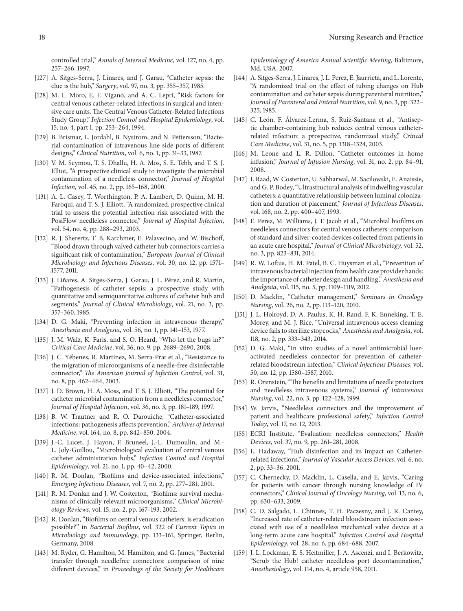controlled trial," *Annals of Internal Medicine*, vol. 127, no. 4, pp. 257–266, 1997.

- [127] A. Sitges-Serra, J. Linares, and J. Garau, "Catheter sepsis: the clue is the hub," *Surgery*, vol. 97, no. 3, pp. 355–357, 1985.
- [128] M. L. Moro, E. F. Viganò, and A. C. Lepri, "Risk factors for central venous catheter-related infections in surgical and intensive care units. The Central Venous Catheter-Related Infections Study Group," *Infection Control and Hospital Epidemiology*, vol. 15, no. 4, part 1, pp. 253–264, 1994.
- [129] B. Brismar, L. Jordahl, B. Nystrom, and N. Pettersson, "Bacterial contamination of intravenous line side ports of different designs," *Clinical Nutrition*, vol. 6, no. 1, pp. 31–33, 1987.
- [130] V. M. Seymou, T. S. Dhallu, H. A. Mos, S. E. Tebb, and T. S. J. Elliot, "A prospective clinical study to investigate the microbial contamination of a needleless connector," *Journal of Hospital Infection*, vol. 45, no. 2, pp. 165–168, 2000.
- [131] A. L. Casey, T. Worthington, P. A. Lambert, D. Quinn, M. H. Faroqui, and T. S. J. Elliott, "A randomized, prospective clinical trial to assess the potential infection risk associated with the PosiFlow needleless connector," *Journal of Hospital Infection*, vol. 54, no. 4, pp. 288–293, 2003.
- [132] R. J. Sherertz, T. B. Karchmer, E. Palavecino, and W. Bischoff, "Blood drawn through valved catheter hub connectors carries a significant risk of contamination," *European Journal of Clinical Microbiology and Infectious Diseases*, vol. 30, no. 12, pp. 1571– 1577, 2011.
- [133] J. Liñares, A. Sitges-Serra, J. Garau, J. L. Pérez, and R. Martín, "Pathogenesis of catheter sepsis: a prospective study with quantitative and semiquantitative cultures of catheter hub and segments," *Journal of Clinical Microbiology*, vol. 21, no. 3, pp. 357–360, 1985.
- [134] D. G. Maki, "Preventing infection in intravenous therapy," *Anesthesia and Analgesia*, vol. 56, no. 1, pp. 141–153, 1977.
- [135] J. M. Walz, K. Faris, and S. O. Heard, "Who let the bugs in?" *Critical Care Medicine*, vol. 36, no. 9, pp. 2689–2690, 2008.
- [136] J. C. Yébenes, R. Martinez, M. Serra-Prat et al., "Resistance to the migration of microorganisms of a needle-free disinfectable connector," *The American Journal of Infection Control*, vol. 31, no. 8, pp. 462–464, 2003.
- [137] J. D. Brown, H. A. Moss, and T. S. J. Elliott, "The potential for catheter microbial contamination from a needleless connector," *Journal of Hospital Infection*, vol. 36, no. 3, pp. 181–189, 1997.
- [138] B. W. Trautner and R. O. Darouiche, "Catheter-associated infections: pathogenesis affects prevention," *Archives of Internal Medicine*, vol. 164, no. 8, pp. 842–850, 2004.
- [139] J.-C. Lucet, J. Hayon, F. Bruneel, J.-L. Dumoulin, and M.-L. Joly-Guillou, "Microbiological evaluation of central venous catheter administration hubs," *Infection Control and Hospital Epidemiology*, vol. 21, no. 1, pp. 40–42, 2000.
- [140] R. M. Donlan, "Biofilms and device-associated infections," *Emerging Infectious Diseases*, vol. 7, no. 2, pp. 277–281, 2001.
- [141] R. M. Donlan and J. W. Costerton, "Biofilms: survival mechanisms of clinically relevant microorganisms," *Clinical Microbiology Reviews*, vol. 15, no. 2, pp. 167–193, 2002.
- [142] R. Donlan, "Biofilms on central venous catheters: is eradication possible?" in *Bacterial Biofilms*, vol. 322 of *Current Topics in Microbiology and Immunology*, pp. 133–161, Springer, Berlin, Germany, 2008.
- [143] M. Ryder, G. Hamilton, M. Hamilton, and G. James, "Bacterial transfer through needlefree connectors: comparison of nine different devices," in *Proceedings of the Society for Healthcare*

*Epidemiology of America Annual Scientific Meeting*, Baltimore, Md, USA, 2007.

- [144] A. Sitges-Serra, J. Linares, J. L. Perez, E. Jaurrieta, and L. Lorente, "A randomized trial on the effect of tubing changes on Hub contamination and catheter sepsis during parenteral nutrition," *Journal of Parenteral and Enteral Nutrition*, vol. 9, no. 3, pp. 322– 325, 1985.
- [145] C. León, F. Álvarez-Lerma, S. Ruiz-Santana et al., "Antiseptic chamber-containing hub reduces central venous catheterrelated infection: a prospective, randomized study," *Critical Care Medicine*, vol. 31, no. 5, pp. 1318–1324, 2003.
- [146] M. Leone and L. R. Dillon, "Catheter outcomes in home infusion," *Journal of Infusion Nursing*, vol. 31, no. 2, pp. 84–91, 2008.
- [147] I. Raad, W. Costerton, U. Sabharwal, M. Sacilowski, E. Anaissie, and G. P. Bodey, "Ultrastructural analysis of indwelling vascular catheters: a quantitative relationship between luminal colonization and duration of placement," *Journal of Infectious Diseases*, vol. 168, no. 2, pp. 400–407, 1993.
- [148] E. Perez, M. Williams, J. T. Jacob et al., "Microbial biofilms on needleless connectors for central venous catheters: comparison of standard and silver-coated devices collected from patients in an acute care hospital," *Journal of Clinical Microbiology*, vol. 52, no. 3, pp. 823–831, 2014.
- [149] R. W. Loftus, H. M. Patel, B. C. Huysman et al., "Prevention of intravenous bacterial injection from health care provider hands: the importance of catheter design and handling,"*Anesthesia and Analgesia*, vol. 115, no. 5, pp. 1109–1119, 2012.
- [150] D. Macklin, "Catheter management," *Seminars in Oncology Nursing*, vol. 26, no. 2, pp. 113–120, 2010.
- [151] J. L. Holroyd, D. A. Paulus, K. H. Rand, F. K. Enneking, T. E. Morey, and M. J. Rice, "Universal intravenous access cleaning device fails to sterilize stopcocks," *Anesthesia and Analgesia*, vol. 118, no. 2, pp. 333–343, 2014.
- [152] D. G. Maki, "In vitro studies of a novel antimicrobial lueractivated needleless connector for prevention of catheterrelated bloodstream infection," *Clinical Infectious Diseases*, vol. 50, no. 12, pp. 1580–1587, 2010.
- [153] R. Orenstein, "The benefits and limitations of needle protectors and needleless intravenous systems," *Journal of Intravenous Nursing*, vol. 22, no. 3, pp. 122–128, 1999.
- [154] W. Jarvis, "Needleless connectors and the improvement of patient and healthcare professional safety," *Infection Control Today*, vol. 17, no. 12, 2013.
- [155] ECRI Institute, "Evaluation: needleless connectors," *Health Devices*, vol. 37, no. 9, pp. 261–281, 2008.
- [156] L. Hadaway, "Hub disinfection and its impact on Catheterrelated infections," *Journal of Vascular Access Devices*, vol. 6, no. 2, pp. 33–36, 2001.
- [157] C. Chernecky, D. Macklin, L. Casella, and E. Jarvis, "Caring for patients with cancer through nursing knowledge of IV connectors," *Clinical Journal of Oncology Nursing*, vol. 13, no. 6, pp. 630–633, 2009.
- [158] C. D. Salgado, L. Chinnes, T. H. Paczesny, and J. R. Cantey, "Increased rate of catheter-related bloodstream infection associated with use of a needleless mechanical valve device at a long-term acute care hospital," *Infection Control and Hospital Epidemiology*, vol. 28, no. 6, pp. 684–688, 2007.
- [159] J. L. Lockman, E. S. Heitmiller, J. A. Ascenzi, and I. Berkowitz, "Scrub the Hub! catheter needleless port decontamination," *Anesthesiology*, vol. 114, no. 4, article 958, 2011.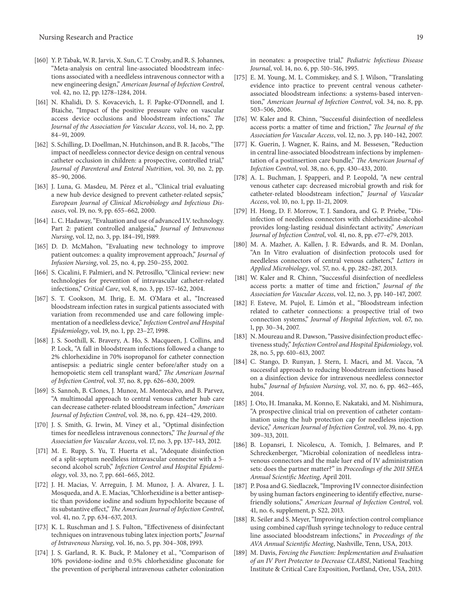- [160] Y. P. Tabak, W. R. Jarvis, X. Sun, C. T. Crosby, and R. S. Johannes, "Meta-analysis on central line-associated bloodstream infections associated with a needleless intravenous connector with a new engineering design," *American Journal of Infection Control*, vol. 42, no. 12, pp. 1278–1284, 2014.
- [161] N. Khalidi, D. S. Kovacevich, L. F. Papke-O'Donnell, and I. Btaiche, "Impact of the positive pressure valve on vascular access device occlusions and bloodstream infections," *The Journal of the Association for Vascular Access*, vol. 14, no. 2, pp. 84–91, 2009.
- [162] S. Schilling, D. Doellman, N. Hutchinson, and B. R. Jacobs, "The impact of needleless connector device design on central venous catheter occlusion in children: a prospective, controlled trial," *Journal of Parenteral and Enteral Nutrition*, vol. 30, no. 2, pp. 85–90, 2006.
- [163] J. Luna, G. Masdeu, M. Pérez et al., "Clinical trial evaluating a new hub device designed to prevent catheter-related sepsis," *European Journal of Clinical Microbiology and Infectious Diseases*, vol. 19, no. 9, pp. 655–662, 2000.
- [164] L. C. Hadaway, "Evaluation and use of advanced I.V. technology. Part 2: patient controlled analgesia," *Journal of Intravenous Nursing*, vol. 12, no. 3, pp. 184–191, 1989.
- [165] D. D. McMahon, "Evaluating new technology to improve patient outcomes: a quality improvement approach," *Journal of Infusion Nursing*, vol. 25, no. 4, pp. 250–255, 2002.
- [166] S. Cicalini, F. Palmieri, and N. Petrosillo, "Clinical review: new technologies for prevention of intravascular catheter-related infections," *Critical Care*, vol. 8, no. 3, pp. 157–162, 2004.
- [167] S. T. Cookson, M. Ihrig, E. M. O'Mara et al., "Increased bloodstream infection rates in surgical patients associated with variation from recommended use and care following implementation of a needleless device," *Infection Control and Hospital Epidemiology*, vol. 19, no. 1, pp. 23–27, 1998.
- [168] J. S. Soothill, K. Bravery, A. Ho, S. Macqueen, J. Collins, and P. Lock, "A fall in bloodstream infections followed a change to 2% chlorhexidine in 70% isopropanol for catheter connection antisepsis: a pediatric single center before/after study on a hemopoietic stem cell transplant ward," *The American Journal of Infection Control*, vol. 37, no. 8, pp. 626–630, 2009.
- [169] S. Sannoh, B. Clones, J. Munoz, M. Montecalvo, and B. Parvez, "A multimodal approach to central venous catheter hub care can decrease catheter-related bloodstream infection," *American Journal of Infection Control*, vol. 38, no. 6, pp. 424–429, 2010.
- [170] J. S. Smith, G. Irwin, M. Viney et al., "Optimal disinfection times for needleless intravenous connectors," *The Journal of the Association for Vascular Access*, vol. 17, no. 3, pp. 137–143, 2012.
- [171] M. E. Rupp, S. Yu, T. Huerta et al., "Adequate disinfection of a split-septum needleless intravascular connector with a 5 second alcohol scrub," *Infection Control and Hospital Epidemiology*, vol. 33, no. 7, pp. 661–665, 2012.
- [172] J. H. Macias, V. Arreguin, J. M. Munoz, J. A. Alvarez, J. L. Mosqueda, and A. E. Macias, "Chlorhexidine is a better antiseptic than povidone iodine and sodium hypochlorite because of its substantive effect," *The American Journal of Infection Control*, vol. 41, no. 7, pp. 634–637, 2013.
- [173] K. L. Ruschman and J. S. Fulton, "Effectiveness of disinfectant techniques on intravenous tubing latex injection ports," *Journal of Intravenous Nursing*, vol. 16, no. 5, pp. 304–308, 1993.
- [174] J. S. Garland, R. K. Buck, P. Maloney et al., "Comparison of 10% povidone-iodine and 0.5% chlorhexidine gluconate for the prevention of peripheral intravenous catheter colonization

in neonates: a prospective trial," *Pediatric Infectious Disease Journal*, vol. 14, no. 6, pp. 510–516, 1995.

- [175] E. M. Young, M. L. Commiskey, and S. J. Wilson, "Translating evidence into practice to prevent central venous catheterassociated bloodstream infections: a systems-based intervention," *American Journal of Infection Control*, vol. 34, no. 8, pp. 503–506, 2006.
- [176] W. Kaler and R. Chinn, "Successful disinfection of needleless access ports: a matter of time and friction," *The Journal of the Association for Vascular Access*, vol. 12, no. 3, pp. 140–142, 2007.
- [177] K. Guerin, J. Wagner, K. Rains, and M. Bessesen, "Reduction in central line-associated bloodstream infections by implementation of a postinsertion care bundle," *The American Journal of Infection Control*, vol. 38, no. 6, pp. 430–433, 2010.
- [178] A. L. Buchman, J. Spapperi, and P. Leopold, "A new central venous catheter cap: decreased microbial growth and risk for catheter-related bloodstream infection," *Journal of Vascular Access*, vol. 10, no. 1, pp. 11–21, 2009.
- [179] H. Hong, D. F. Morrow, T. J. Sandora, and G. P. Priebe, "Disinfection of needleless connectors with chlorhexidine-alcohol provides long-lasting residual disinfectant activity," *American Journal of Infection Control*, vol. 41, no. 8, pp. e77–e79, 2013.
- [180] M. A. Mazher, A. Kallen, J. R. Edwards, and R. M. Donlan, "An In Vitro evaluation of disinfection protocols used for needleless connectors of central venous catheters," *Letters in Applied Microbiology*, vol. 57, no. 4, pp. 282–287, 2013.
- [181] W. Kaler and R. Chinn, "Successful disinfection of needleless access ports: a matter of time and friction," *Journal of the Association for Vascular Access*, vol. 12, no. 3, pp. 140–147, 2007.
- [182] F. Esteve, M. Pujol, E. Limón et al., "Bloodstream infection related to catheter connections: a prospective trial of two connection systems," *Journal of Hospital Infection*, vol. 67, no. 1, pp. 30–34, 2007.
- [183] N. Moureau and R. Dawson, "Passive disinfection product effectiveness study," *Infection Control and Hospital Epidemiology*, vol. 28, no. 5, pp. 610–613, 2007.
- [184] C. Stango, D. Runyan, J. Stern, I. Macri, and M. Vacca, "A successful approach to reducing bloodstream infections based on a disinfection device for intravenous needleless connector hubs," *Journal of Infusion Nursing*, vol. 37, no. 6, pp. 462–465, 2014.
- [185] J. Oto, H. Imanaka, M. Konno, E. Nakataki, and M. Nishimura, "A prospective clinical trial on prevention of catheter contamination using the hub protection cap for needleless injection device," *American Journal of Infection Control*, vol. 39, no. 4, pp. 309–313, 2011.
- [186] B. Lopansri, I. Nicolescu, A. Tomich, J. Belmares, and P. Schreckenberger, "Microbial colonization of needleless intravenous connectors and the male luer end of IV administration sets: does the partner matter?" in *Proceedings of the 2011 SHEA Annual Scientific Meeting*, April 2011.
- [187] P. Posa and G. Siedlaczek, "Improving IV connector disinfection by using human factors engineering to identify effective, nursefriendly solutions," *American Journal of Infection Control*, vol. 41, no. 6, supplement, p. S22, 2013.
- [188] R. Seiler and S. Meyer, "Improving infection control compliance using combined cap/flush syringe technology to reduce central line associated bloodstream infections," in *Proceedings of the AVA Annual Scientific Meeting*, Nashville, Tenn, USA, 2013.
- [189] M. Davis, *Forcing the Function: Implementation and Evaluation of an IV Port Protector to Decrease CLABSI*, National Teaching Institute & Critical Care Exposition, Portland, Ore, USA, 2013.